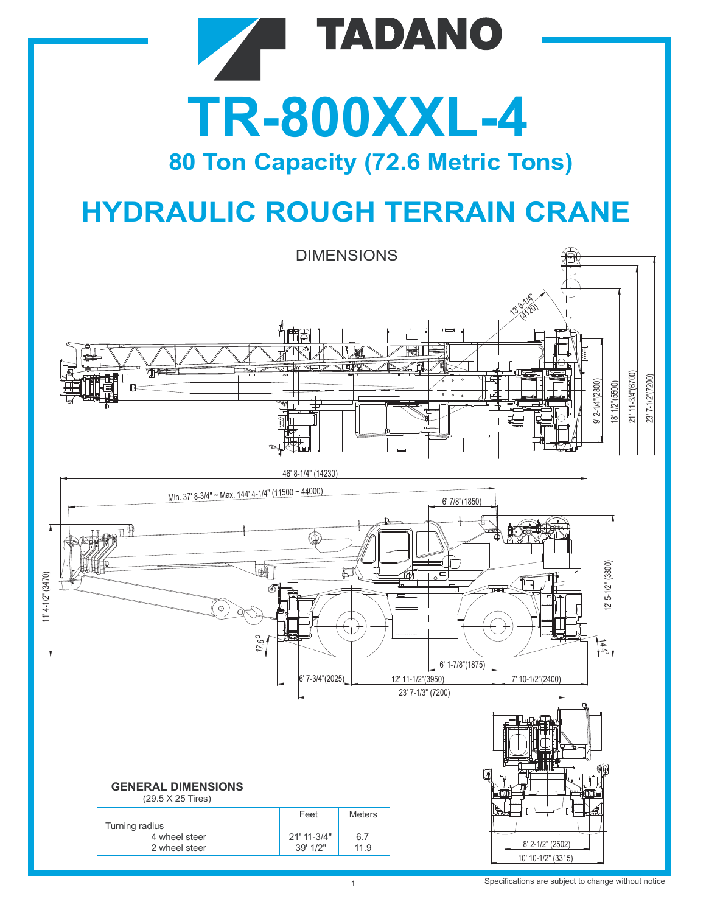

Specifications are subject to change without notice 1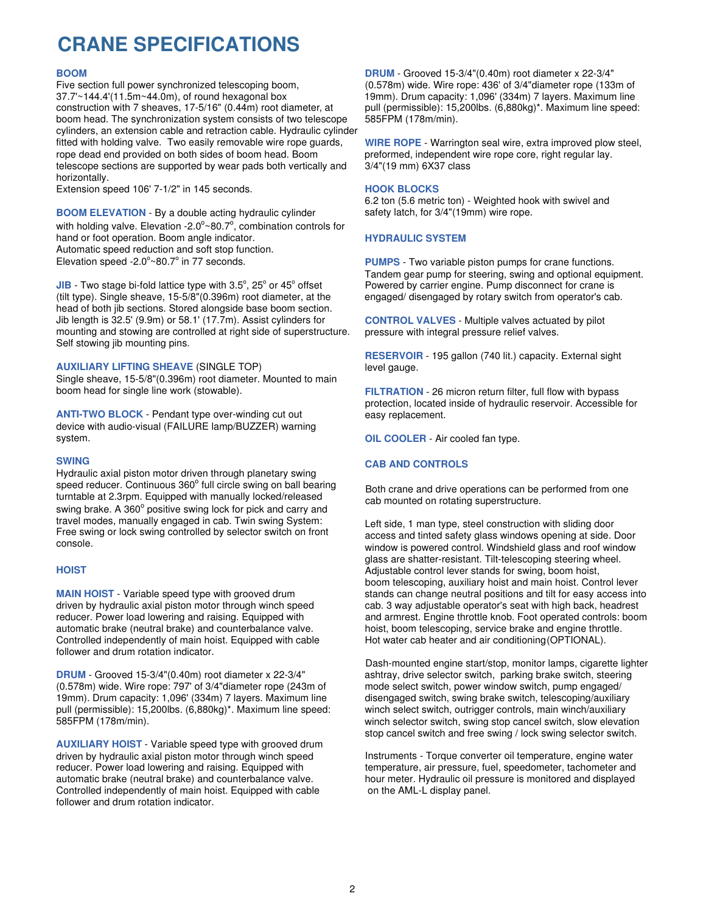### **CRANE SPECIFICATIONS**

Five section full power synchronized telescoping boom,  $(0.578m)$  wide. Wire rope: 436' of 3/4"diameter rope (133m of 37.7'~144.4'(11.5m~44.0m), of round hexagonal box 19mm). Drum capacity: 1,096' (334m) 7 layers. Maximum line<br>construction with 7 sheaves, 17-5/16" (0.44m) root diameter, at pull (permissible): 15,200lbs. (6,880kg)\*. Maximu boom head. The synchronization system consists of two telescope cylinders, an extension cable and retraction cable. Hydraulic cylinder fitted with holding valve. Two easily removable wire rope guards, **WIRE ROPE** - Warrington seal wire, extra improved plow steel, rope dead end provided on both sides of boom head. Boom preformed, independent wire rope core, right regular lay.<br>telescope sections are supported by wear pads both vertically and 3/4"(19 mm) 6X37 class telescope sections are supported by wear pads both vertically and horizontally.

Extension speed 106' 7-1/2" in 145 seconds. **HOOK BLOCKS** 

**BOOM ELEVATION** - By a double acting hydraulic cylinder with holding valve. Elevation -2.0 $^{\circ}$ ~80.7 $^{\circ}$ , combination controls for hand or foot operation. Boom angle indicator. Automatic speed reduction and soft stop function. Elevation speed - $2.0^{\circ}$ ~80.7 $^{\circ}$  in 77 seconds.

JIB - Two stage bi-fold lattice type with 3.5°, 25° or 45° offset (tilt type). Single sheave, 15-5/8"(0.396m) root diameter, at the head of both jib sections. Stored alongside base boom section. Jib length is 32.5' (9.9m) or 58.1' (17.7m). Assist cylinders for mounting and stowing are controlled at right side of superstructure. Self stowing jib mounting pins.

#### **AUXILIARY LIFTING SHEAVE** (SINGLE TOP)

Single sheave, 15-5/8"(0.396m) root diameter. Mounted to main boom head for single line work (stowable).

**ANTI-TWO BLOCK** - Pendant type over-winding cut out device with audio-visual (FAILURE lamp/BUZZER) warning system.

#### **SWING**

Hydraulic axial piston motor driven through planetary swing speed reducer. Continuous 360° full circle swing on ball bearing turntable at 2.3rpm. Equipped with manually locked/released swing brake. A 360° positive swing lock for pick and carry and travel modes, manually engaged in cab. Twin swing System: Free swing or lock swing controlled by selector switch on front console.

#### **HOIST**

**MAIN HOIST** - Variable speed type with grooved drum driven by hydraulic axial piston motor through winch speed reducer. Power load lowering and raising. Equipped with automatic brake (neutral brake) and counterbalance valve. Controlled independently of main hoist. Equipped with cable follower and drum rotation indicator.

**DRUM** - Grooved 15-3/4"(0.40m) root diameter x 22-3/4" (0.578m) wide. Wire rope: 797' of 3/4"diameter rope (243m of 19mm). Drum capacity: 1,096' (334m) 7 layers. Maximum line pull (permissible): 15,200lbs. (6,880kg)\*. Maximum line speed: 585FPM (178m/min).

**AUXILIARY HOIST** - Variable speed type with grooved drum driven by hydraulic axial piston motor through winch speed reducer. Power load lowering and raising. Equipped with automatic brake (neutral brake) and counterbalance valve. Controlled independently of main hoist. Equipped with cable follower and drum rotation indicator.

**BOOM DRUM** - Grooved 15-3/4"(0.40m) root diameter x 22-3/4" pull (permissible): 15,200lbs. (6,880kg)\*. Maximum line speed:<br>585FPM (178m/min).

6.2 ton (5.6 metric ton) - Weighted hook with swivel and safety latch, for 3/4"(19mm) wire rope.

#### **HYDRAULIC SYSTEM**

**PUMPS** - Two variable piston pumps for crane functions. Tandem gear pump for steering, swing and optional equipment. Powered by carrier engine. Pump disconnect for crane is engaged/ disengaged by rotary switch from operator's cab.

**CONTROL VALVES** - Multiple valves actuated by pilot pressure with integral pressure relief valves.

**RESERVOIR** - 195 gallon (740 lit.) capacity. External sight level gauge.

**FILTRATION** - 26 micron return filter, full flow with bypass protection, located inside of hydraulic reservoir. Accessible for easy replacement.

**OIL COOLER** - Air cooled fan type.

#### **CAB AND CONTROLS**

Both crane and drive operations can be performed from one cab mounted on rotating superstructure.

Left side, 1 man type, steel construction with sliding door access and tinted safety glass windows opening at side. Door window is powered control. Windshield glass and roof window glass are shatter-resistant. Tilt-telescoping steering wheel. stands can change neutral positions and tilt for easy access into Adjustable control lever stands for swing, boom hoist, boom telescoping, auxiliary hoist and main hoist. Control lever cab. 3 way adjustable operator's seat with high back, headrest and armrest. Engine throttle knob. Foot operated controls: boom hoist, boom telescoping, service brake and engine throttle. Hot water cab heater and air conditioning(OPTIONAL).

Dash-mounted engine start/stop, monitor lamps, cigarette lighter ashtray, drive selector switch, parking brake switch, steering mode select switch, power window switch, pump engaged/ disengaged switch, swing brake switch, telescoping/auxiliary winch select switch, outrigger controls, main winch/auxiliary winch selector switch, swing stop cancel switch, slow elevation stop cancel switch and free swing / lock swing selector switch.

Instruments - Torque converter oil temperature, engine water temperature, air pressure, fuel, speedometer, tachometer and hour meter. Hydraulic oil pressure is monitored and displayed on the AML-L display panel.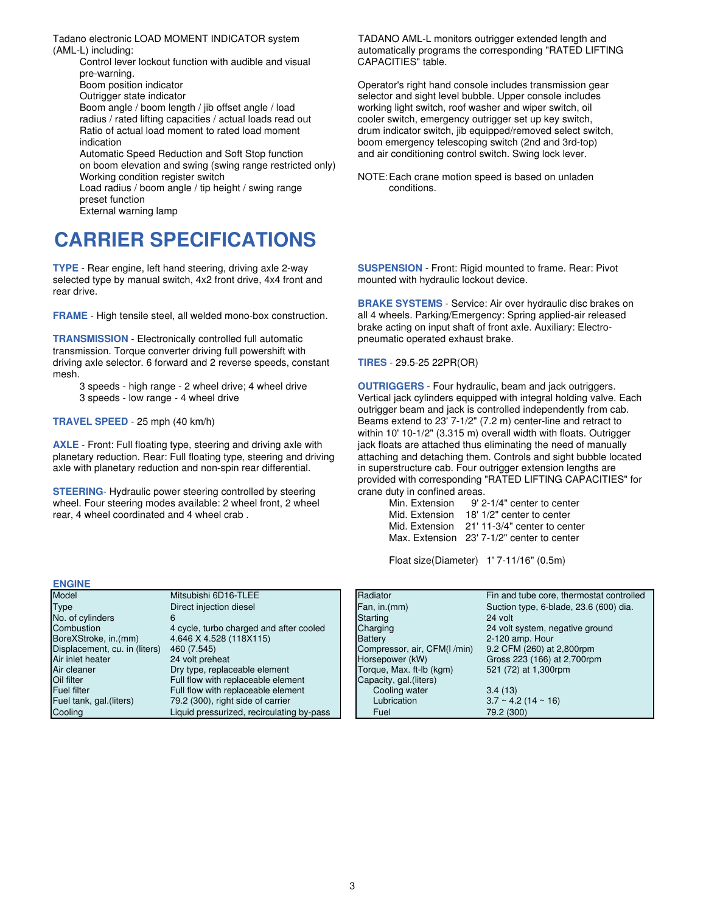Control lever lockout function with audible and visual CAPACITIES" table. pre-warning.

Automatic Speed Reduction and Soft Stop function and air conditioning control switch. Swing lock lever. on boom elevation and swing (swing range restricted only)<br>Working condition register switch

Load radius / boom angle / tip height / swing range preset function

External warning lamp

### **CARRIER SPECIFICATIONS**

**TYPE** - Rear engine, left hand steering, driving axle 2-way **SUSPENSION** - Front: Rigid mounted to frame. Rear: Pivot selected type by manual switch, 4x2 front drive, 4x4 front and mounted with hydraulic lockout device. selected type by manual switch, 4x2 front drive, 4x4 front and rear drive.

**TRANSMISSION** - Electronically controlled full automatic transmission. Torque converter driving full powershift with driving axle selector. 6 forward and 2 reverse speeds, constant **TIRES** - 29.5-25 22PR(OR) mesh.

planetary reduction. Rear: Full floating type, steering and driving axle with planetary reduction and non-spin rear differential. in superstructure cab. Four outrigger extension lengths are

**STEERING**- Hydraulic power steering controlled by steering crane duty in confined areas.<br>
wheel. Four steering modes available: 2 wheel front. 2 wheel **Min. Extension** 9' 2-1/4" center to center wheel. Four steering modes available: 2 wheel front, 2 wheel Min. Extension 9' 2-1/4" center to center vecenter vecalisation of the Min. Extension 9' 2-1/4" center to center rear, 4 wheel coordinated and 4 wheel crab.

Tadano electronic LOAD MOMENT INDICATOR system TADANO AML-L monitors outrigger extended length and<br>(AML-L) including: TATED LIFTI automatically programs the corresponding "RATED LIFTING

Boom position indicator Operator's right hand console includes transmission gear Outrigger state indicator selector and sight level bubble. Upper console includes<br>Boom angle / boom length / jib offset angle / load working light switch, roof washer and wiper switch, oil Boom angle / boom length / jib offset angle / load working light switch, roof washer and wiper switch, oil<br>
radius / rated lifting capacities / actual loads read out cooler switch, emergency outrigger set up key switch, cooler switch, emergency outrigger set up key switch, Ratio of actual load moment to rated load moment drum indicator switch, jib equipped/removed select switch, indication boom emergency telescoping switch (2nd and 3rd-top)

NOTE: Each crane motion speed is based on unladen conditions.

**BRAKE SYSTEMS** - Service: Air over hydraulic disc brakes on **FRAME** - High tensile steel, all welded mono-box construction. all 4 wheels. Parking/Emergency: Spring applied-air released brake acting on input shaft of front axle. Auxiliary: Electro-

3 speeds - high range - 2 wheel drive; 4 wheel drive **OUTRIGGERS** - Four hydraulic, beam and jack outriggers.<br>3 speeds - low range - 4 wheel drive **business of the State of Australia**ck cylinders equipped with integral hol Vertical jack cylinders equipped with integral holding valve. Each outrigger beam and jack is controlled independently from cab. **TRAVEL SPEED** - 25 mph (40 km/h) Beams extend to 23' 7-1/2" (7.2 m) center-line and retract to within 10' 10-1/2" (3.315 m) overall width with floats. Outrigger **AXLE** - Front: Full floating type, steering and driving axle with jack floats are attached thus eliminating the need of manually planetary reduction. Rear: Full floating type, steering and driving attaching and detaching provided with corresponding "RATED LIFTING CAPACITIES" for

> Mid. Extension 21' 11-3/4" center to center Max. Extension 23' 7-1/2" center to center

Float size(Diameter) 1' 7-11/16" (0.5m)

#### **ENGINE**

| Model                         | Mitsubishi 6D16-TLEE                      | Radiator                    | Fin and tube core, thermostat co |
|-------------------------------|-------------------------------------------|-----------------------------|----------------------------------|
| Type                          | Direct injection diesel                   | Fan, in.(mm)                | Suction type, 6-blade, 23.6 (600 |
| No. of cylinders              | 6                                         | Starting                    | 24 volt                          |
| Combustion                    | 4 cycle, turbo charged and after cooled   | Charging                    | 24 volt system, negative ground  |
| BoreXStroke, in.(mm)          | 4.646 X 4.528 (118X115)                   | <b>Battery</b>              | 2-120 amp. Hour                  |
| Displacement, cu. in (liters) | 460 (7.545)                               | Compressor, air, CFM(I/min) | 9.2 CFM (260) at 2,800rpm        |
| Air inlet heater              | 24 volt preheat                           | Horsepower (kW)             | Gross 223 (166) at 2,700rpm      |
| Air cleaner                   | Dry type, replaceable element             | Torque, Max. ft-lb (kgm)    | 521 (72) at 1,300rpm             |
| Oil filter                    | Full flow with replaceable element        | Capacity, gal. (liters)     |                                  |
| <b>Fuel filter</b>            | Full flow with replaceable element        | Cooling water               | 3.4(13)                          |
| Fuel tank, gal.(liters)       | 79.2 (300), right side of carrier         | Lubrication                 | $3.7 \sim 4.2$ (14 $\sim 16$ )   |
| Cooling                       | Liquid pressurized, recirculating by-pass | Fuel                        | 79.2 (300)                       |

| Model                         | Mitsubishi 6D16-TLEE                      | Radiator                    | Fin and tube core, thermostat controlled |
|-------------------------------|-------------------------------------------|-----------------------------|------------------------------------------|
| Type                          | Direct injection diesel                   | Fan, in.(mm)                | Suction type, 6-blade, 23.6 (600) dia.   |
| No. of cylinders              |                                           | Starting                    | 24 volt                                  |
| Combustion                    | 4 cycle, turbo charged and after cooled   | Charging                    | 24 volt system, negative ground          |
| BoreXStroke, in.(mm)          | 4.646 X 4.528 (118X115)                   | <b>Battery</b>              | 2-120 amp. Hour                          |
| Displacement, cu. in (liters) | 460 (7.545)                               | Compressor, air, CFM(I/min) | 9.2 CFM (260) at 2,800rpm                |
| Air inlet heater              | 24 volt preheat                           | Horsepower (kW)             | Gross 223 (166) at 2,700rpm              |
| Air cleaner                   | Dry type, replaceable element             | Torque, Max. ft-lb (kgm)    | 521 (72) at 1,300rpm                     |
| Oil filter                    | Full flow with replaceable element        | Capacity, gal. (liters)     |                                          |
| Fuel filter                   | Full flow with replaceable element        | Cooling water               | 3.4(13)                                  |
| Fuel tank, gal.(liters)       | 79.2 (300), right side of carrier         | Lubrication                 | $3.7 \sim 4.2$ (14 $\sim 16$ )           |
| Cooling                       | Liquid pressurized, recirculating by-pass | Fuel                        | 79.2 (300)                               |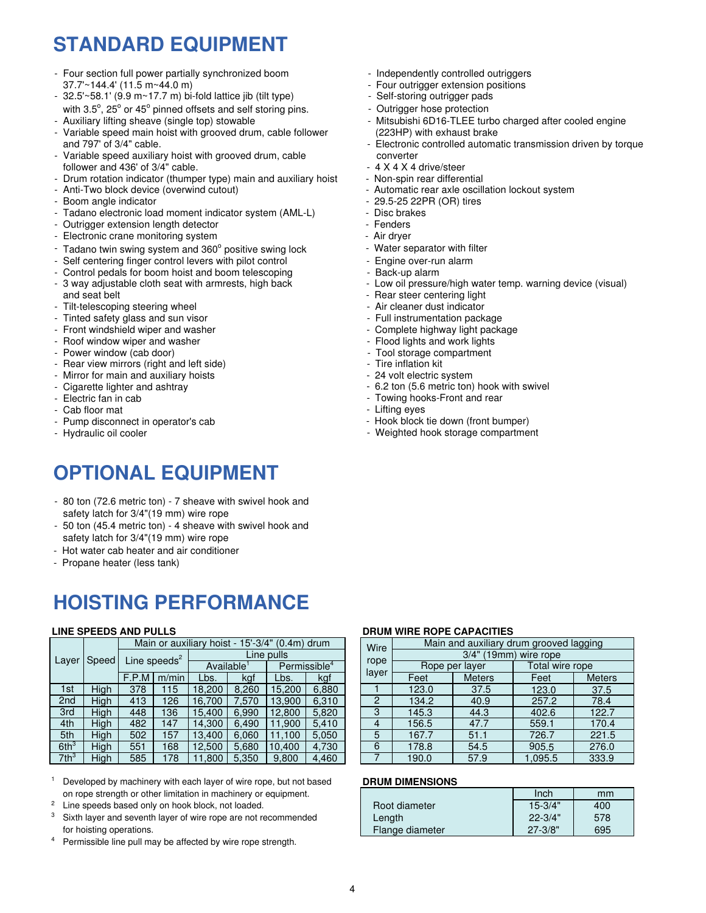# **STANDARD EQUIPMENT**

- Four section full power partially synchronized boom Independently controlled outriggers<br>37.7'~144.4' (11.5 m~44.0 m) Four outrigger extension positions
- 32.5'~58.1' (9.9 m~17.7 m) bi-fold lattice jib (tilt type) Self-storing outrigger pads with 3.5 $^{\circ}$ , 25 $^{\circ}$  or 45 $^{\circ}$  pinned offsets and self storing pins.  $\qquad \qquad$  - Outrigger hose protection
- 
- Variable speed main hoist with grooved drum, cable follower and 797' of 3/4" cable.
- Variable speed auxiliary hoist with grooved drum, cable converter follower and 436' of  $3/4$ " cable.  $\overline{a}$  and  $\overline{a}$  and  $\overline{a}$  of  $3/4$ " cable.
- Drum rotation indicator (thumper type) main and auxiliary hoist Non-spin rear differential<br>- Anti-Two block device (overwind cutout) Automatic rear axle oscill
- 
- 
- Tadano electronic load moment indicator system (AML-L) Disc brakes
- Outrigger extension length detector<br>
 Electronic crane monitoring system<br>
 Fenders Air dryer
- Electronic crane monitoring system
- Tadano twin swing system and  $360^\circ$  positive swing lock
- Self centering finger control levers with pilot control Engine over-run Control pedals for boom hoist and boom telescoping Back-up alarm
- Control pedals for boom hoist and boom telescoping<br>- 3 way adjustable cloth seat with armrests, high back
- and seat belt Rear steer centering light
- Tilt-telescoping steering wheel  $\overline{\phantom{a}}$  and  $\overline{\phantom{a}}$  Air cleaner dust indicator  $\overline{\phantom{a}}$  Air cleaner dust indicator  $\overline{\phantom{a}}$  and  $\overline{\phantom{a}}$  and  $\overline{\phantom{a}}$  and  $\overline{\phantom{a}}$  and  $\overline{\phantom{a}}$  and  $\overline{\phantom{a}}$  an
- Tinted safety glass and sun visor<br>- Front windshield wiper and washer
- 
- 
- 
- Rear view mirrors (right and left side)<br>
Mirror for main and auxiliary hoists<br>
The state of the state of the 24 volt electric system<br>
24 volt electric system
- Mirror for main and auxiliary hoists
- Cigarette lighter and ashtray
- Electric fan in cab
- Cab floor mat
- Pump disconnect in operator's cab
- Hydraulic oil cooler

# **OPTIONAL EQUIPMENT**

- 80 ton (72.6 metric ton) 7 sheave with swivel hook and safety latch for 3/4"(19 mm) wire rope
- 50 ton (45.4 metric ton) 4 sheave with swivel hook and safety latch for 3/4"(19 mm) wire rope
- Hot water cab heater and air conditioner
- Propane heater (less tank)

### **HOISTING PERFORMANCE**

#### **LINE SPEEDS AND PULLS DRUM WIRE ROPE CAPACITIES**

|                  |             |       |                          |           |       | Main or auxiliary hoist - 15'-3/4" (0.4m) drum |       | Wire  |       |                    | Main and auxiliary drum grooved lagging |        |
|------------------|-------------|-------|--------------------------|-----------|-------|------------------------------------------------|-------|-------|-------|--------------------|-----------------------------------------|--------|
|                  | Speed       |       | Line speeds <sup>2</sup> |           |       | Line pulls                                     |       |       |       | $3/4"$ (<br>(19mm) | wire rope                               |        |
| Layer            |             |       |                          | Available |       | Permissible <sup>4</sup>                       |       | rope  |       | Rope per layer     | Total wire rope                         |        |
|                  |             | F.P.M | m/min                    | Lbs.      | kgf   | Lbs.                                           | kgf   | layer | Feet  | <b>Meters</b>      | Feet                                    | Meters |
| 1st              | Hiah        | 378   | 15                       | 18,200    | 8.260 | 15,200                                         | 6,880 |       | 123.0 | 37.5               | 123.0                                   | 37.5   |
| 2nd              | High        | 413   | 126                      | 16,700    | .570  | 13,900                                         | 6,310 | ◠     | 134.2 | 40.9               | 257.2                                   | 78.4   |
| 3rd              | Hiah        | 448   | 136                      | 15,400    | 6.990 | 12,800                                         | 5,820 | 3     | 145.3 | 44.3               | 402.6                                   | 122.7  |
| 4th              | <b>High</b> | 482   | 147                      | 14.300    | 6.490 | .900                                           | 5,410 |       | 156.5 | 47.7               | 559.1                                   | 170.4  |
| 5th              | Hiah        | 502   | 157                      | 13,400    | 6.060 | ,100                                           | 5,050 |       | 167.7 | 51.1               | 726.7                                   | 221.5  |
| 6th <sup>3</sup> | High        | 551   | 168                      | 12,500    | 5.680 | 10.400                                         | 4,730 | 6     | 178.8 | 54.5               | 905.5                                   | 276.0  |
| $7th^3$          | High        | 585   | 178                      | .800      | 5,350 | 9,800                                          | 4,460 |       | 190.0 | 57.9               | 1,095.5                                 | 333.9  |

<sup>1</sup> Developed by machinery with each layer of wire rope, but not based **DRUM DIMENSIONS** on rope strength or other limitation in machinery or equipment.

- <sup>2</sup> Line speeds based only on hook block, not loaded.
- Sixth layer and seventh layer of wire rope are not recommended for hoisting operations.
- <sup>4</sup> Permissible line pull may be affected by wire rope strength.
- 
- Four outrigger extension positions
- 
- 
- Auxiliary lifting sheave (single top) stowable Theorem Contest of Mitsubishi 6D16-TLEE turbo charged after cooled engine<br>Variable speed main hoist with grooved drum, cable follower (223HP) with exhaust brake
	- Electronic controlled automatic transmission driven by torque
	-
	-
- Anti-Two block device (overwind cutout) Automatic rear axle oscillation lockout system<br>Boom andle indicator 29.5-25 22PR (OR) tires
	- 29.5-25 22PR (OR) tires
	-
	-
	-
	- Water separator with filter<br>- Engine over-run alarm
	-
	-
	- Low oil pressure/high water temp. warning device (visual)
	-
	-
	-
- Front windshield wiper and washer Complete highway light package
- Roof window wiper and washer  $\overline{\phantom{a}}$  Flood lights and work lights
	- Power window (cab door)  $\sim$  Tool storage compartment
		-
		-
		- 6.2 ton (5.6 metric ton) hook with swivel
		- Towing hooks-Front and rear
		- Lifting eyes
		- Hook block tie down (front bumper)
		- Weighted hook storage compartment

|             | LLDJ AND I OLLJ                                  |                 |           |       |                                                |       |       | <u>DIUM WILL IN LUALAUILU</u> |                |                                         |               |
|-------------|--------------------------------------------------|-----------------|-----------|-------|------------------------------------------------|-------|-------|-------------------------------|----------------|-----------------------------------------|---------------|
|             |                                                  |                 |           |       | Main or auxiliary hoist - 15'-3/4" (0.4m) drum |       | Wire  |                               |                | Main and auxiliary drum grooved lagging |               |
| peed{       |                                                  | Line speeds $2$ |           |       | Line pulls                                     |       |       |                               | 3/4"<br>(19mm) | wire rope                               |               |
|             |                                                  |                 | Available |       | Permissible <sup>4</sup>                       |       | rope  | Rope per layer                |                | i otal wire rope                        |               |
|             | m/min<br>F.P.M                                   |                 | Lbs.      | kgt   | kgf<br>∟bs.                                    |       | layer | Feet                          | <b>Meters</b>  | Feet                                    | <b>Meters</b> |
| High        | 378                                              | 115             | 18,200    | 8,260 | 15,200                                         | 6,880 |       | 123.0                         | 37.5           | 123.0                                   | 37.5          |
| <b>High</b> | 413                                              | 126             | 16,700    | 7.570 | 13,900                                         | 6,310 | 2     | 134.2                         | 40.9           | 257.2                                   | 78.4          |
| <b>High</b> | 448                                              | 136             | 15,400    | 6.990 | 12,800                                         | 5,820 | 3     | 145.3                         | 44.3           | 402.6                                   | 122.7         |
| High        | 482                                              | 147             | 14,300    | 6,490 | 11,900                                         | 5.410 |       | 156.5                         | 47.7           | 559.1                                   | 170.4         |
| <b>High</b> | 502                                              | 157             | 13.400    | 6.060 | 11,100                                         | 5,050 | 5     | 167.7                         | 51.1           | 726.7                                   | 221.5         |
| <b>High</b> | 4,730<br>551<br>168<br>12,500<br>5.680<br>10,400 |                 | 6         | 178.8 | 54.5                                           | 905.5 | 276.0 |                               |                |                                         |               |
| Hiah        | 585                                              | 78              | .800      | 5.350 | 9.800                                          | 4.460 |       | 190.0                         | 57.9           | 1.095.5                                 | 333.9         |

|                 | Inch        | mm  |
|-----------------|-------------|-----|
| Root diameter   | $15 - 3/4"$ | 400 |
| Length          | $22 - 3/4"$ | 578 |
| Flange diameter | $27 - 3/8"$ | 695 |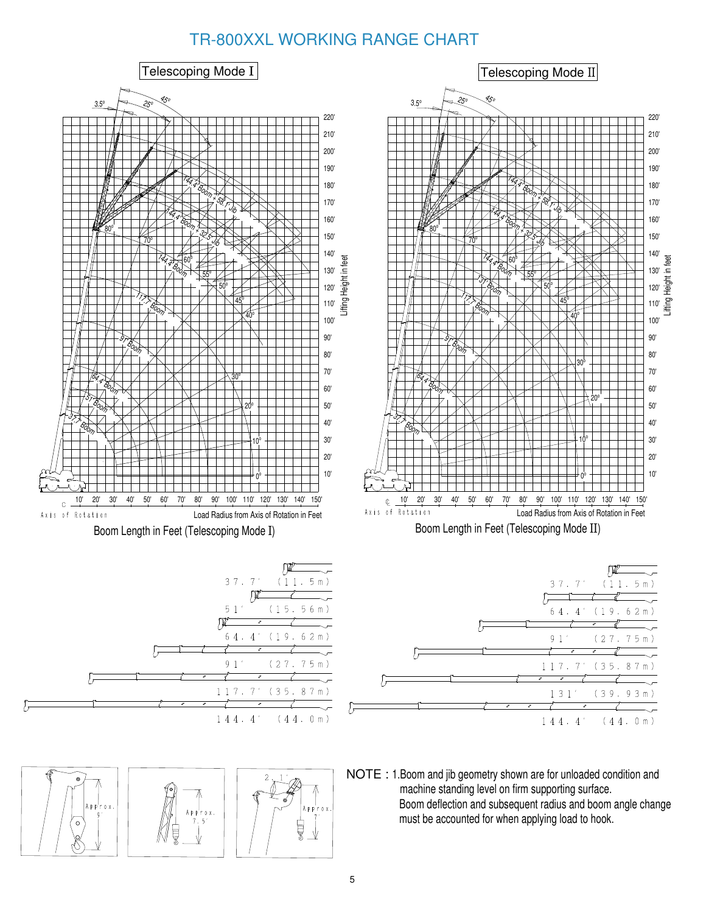#### TR-800XXL WORKING RANGE CHART





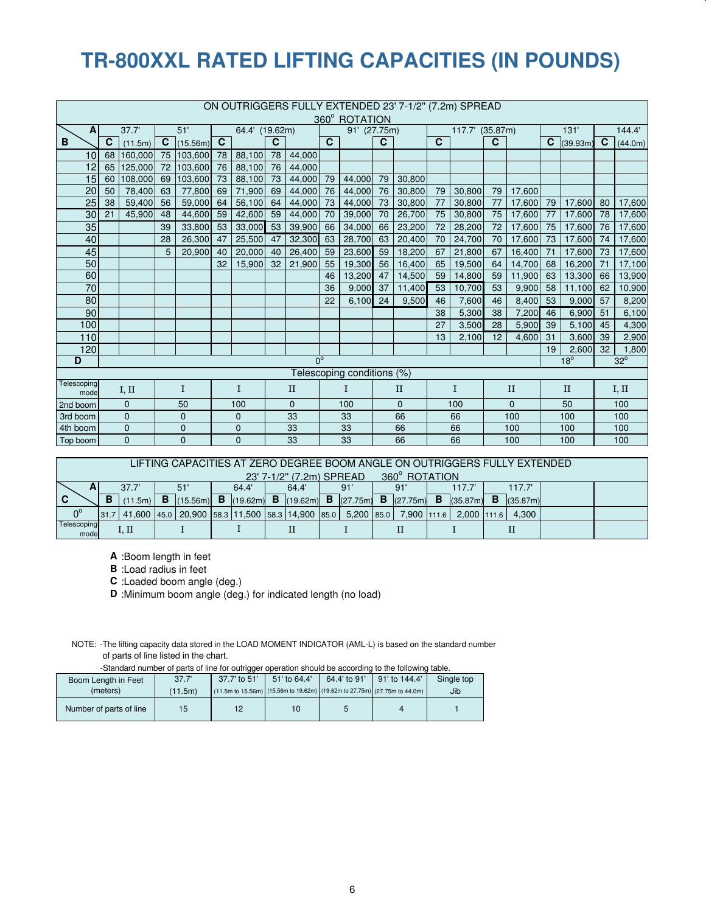| ON OUTRIGGERS FULLY EXTENDED 23' 7-1/2" (7.2m) SPREAD<br>360° ROTATION |                                          |              |              |          |                    |                |                 |          |                |                            |    |             |              |                 |     |              |             |             |              |            |
|------------------------------------------------------------------------|------------------------------------------|--------------|--------------|----------|--------------------|----------------|-----------------|----------|----------------|----------------------------|----|-------------|--------------|-----------------|-----|--------------|-------------|-------------|--------------|------------|
| A                                                                      |                                          | 37.7'        |              | 51'      |                    |                |                 |          |                |                            |    |             |              |                 |     |              |             | 131'        |              | 144.4'     |
|                                                                        | $\mathbf{C}$                             |              | $\mathbf{C}$ |          | $\mathbf{C}$       | 64.4' (19.62m) | $\mathbf{C}$    |          | C              | 91' (27.75m)               | C  |             | $\mathbf{C}$ | 117.7' (35.87m) | C   |              | $\mathbf C$ |             | $\mathbf{C}$ |            |
| B                                                                      |                                          | (11.5m)      |              | (15.56m) |                    |                |                 |          |                |                            |    |             |              |                 |     |              |             | (39.93m)    |              | (44.0m)    |
| 10                                                                     | 68                                       | 160,000      | 75           | 103.600  | 78                 | 88,100         | 78              | 44.000   |                |                            |    |             |              |                 |     |              |             |             |              |            |
| 12                                                                     | 65                                       | 125,000      | 72           | 103,600  | 76                 | 88,100         | 76              | 44,000   |                |                            |    |             |              |                 |     |              |             |             |              |            |
| 15                                                                     | 60                                       | 108,000      | 69           | 103,600  | 73                 | 88,100         | 73              | 44,000   | 79             | 44,000                     | 79 | 30,800      |              |                 |     |              |             |             |              |            |
| 20                                                                     | 50                                       | 78,400       | 63           | 77,800   | 69                 | 71,900         | 69              | 44,000   | 76             | 44,000                     | 76 | 30,800      | 79           | 30,800          | 79  | 17,600       |             |             |              |            |
| 25                                                                     | 38                                       | 59,400       | 56           | 59,000   | 64                 | 56,100         | 64              | 44,000   | 73             | 44,000                     | 73 | 30,800      | 77           | 30,800          | 77  | 17,600       | 79          | 17,600      | 80           | 17,600     |
| 30                                                                     | 21                                       | 45,900       | 48           | 44,600   | 59                 | 42,600         | 59              | 44,000   | 70             | 39,000                     | 70 | 26,700      | 75           | 30,800          | 75  | 17,600       | 77          | 17,600      | 78           | 17,600     |
| 35                                                                     |                                          |              | 39           | 33,800   | 53                 | 33,000         | 53              | 39,900   | 66             | 34,000                     | 66 | 23,200      | 72           | 28,200          | 72  | 17,600       | 75          | 17,600      | 76           | 17,600     |
| 40                                                                     |                                          |              | 28           | 26,300   | 47                 | 25,500         | 47              | 32,300   | 63             | 28,700                     | 63 | 20,400      | 70           | 24,700          | 70  | 17,600       | 73          | 17,600      | 74           | 17,600     |
| 45                                                                     |                                          |              | 5            | 20,900   | 40                 | 20,000         | 40              | 26,400   | 59             | 23,600                     | 59 | 18,200      | 67           | 21,800          | 67  | 16,400       | 71          | 17,600      | 73           | 17,600     |
| 50                                                                     |                                          |              |              |          | 32                 | 15,900         | 32 <sup>°</sup> | 21,900   | 55             | 19,300                     | 56 | 16,400      | 65           | 19,500          | 64  | 14,700       | 68          | 16,200      | 71           | 17,100     |
| 60                                                                     |                                          |              |              |          |                    |                |                 |          | 46             | 13,200                     | 47 | 14,500      | 59           | 14,800          | 59  | 11,900       | 63          | 13,300      | 66           | 13,900     |
| 70                                                                     |                                          |              |              |          |                    |                |                 |          | 36             | 9,000                      | 37 | 11,400      | 53           | 10,700          | 53  | 9,900        | 58          | 11,100      | 62           | 10,900     |
| 80                                                                     |                                          |              |              |          |                    |                |                 |          | 22             | 6,100                      | 24 | 9,500       | 46           | 7,600           | 46  | 8,400        | 53          | 9,000       | 57           | 8,200      |
| 90                                                                     |                                          |              |              |          |                    |                |                 |          |                |                            |    |             | 38           | 5,300           | 38  | 7,200        | 46          | 6,900       | 51           | 6,100      |
| 100                                                                    |                                          |              |              |          |                    |                |                 |          |                |                            |    |             | 27           | 3,500           | 28  | 5,900        | 39          | 5,100       | 45           | 4,300      |
| 110                                                                    |                                          |              |              |          |                    |                |                 |          |                |                            |    |             | 13           | 2,100           | 12  | 4,600        | 31          | 3,600       | 39           | 2,900      |
| 120                                                                    |                                          |              |              |          |                    |                |                 |          |                |                            |    |             |              |                 |     |              | 19          | 2,600       | 32           | 1,800      |
| D                                                                      |                                          |              |              |          |                    |                |                 |          | 0 <sup>o</sup> |                            |    |             |              |                 |     |              |             | $18^\circ$  |              | $32^\circ$ |
|                                                                        |                                          |              |              |          |                    |                |                 |          |                | Telescoping conditions (%) |    |             |              |                 |     |              |             |             |              |            |
| Telescoping<br>mode                                                    |                                          | I, II        |              | I        |                    | T              |                 | $\rm II$ |                | I                          |    | $_{\rm II}$ |              | I               |     | $\mathbf{I}$ |             | $_{\rm II}$ |              | I, II      |
| 2nd boom                                                               |                                          | $\mathbf{0}$ |              | 50       |                    | 100            |                 | $\Omega$ |                | 100                        |    | $\Omega$    |              | 100             |     | $\mathbf{0}$ | 50          |             | 100          |            |
| 3rd boom                                                               |                                          | $\mathbf{0}$ |              | 0        | 33<br>$\mathbf{0}$ |                |                 |          |                | 66<br>33                   |    |             | 66           |                 | 100 |              | 100         |             | 100          |            |
| 4th boom                                                               | 33<br>$\overline{0}$<br>0<br>$\mathbf 0$ |              |              |          |                    |                |                 |          | 33             |                            | 66 |             | 66           |                 | 100 |              | 100         |             | 100          |            |
| Top boom                                                               | 0<br>0<br>$\Omega$<br>33                 |              |              |          |                    |                |                 |          | 33<br>66<br>66 |                            |    |             |              | 100             |     | 100          |             | 100         |              |            |

#### LIFTING CAPACITIES AT ZERO DEGREE BOOM ANGLE ON OUTRIGGERS FULLY EXTENDED

|  | 23' 7-1/2" (7.2m) SPREAD | 360° ROTATION |  |
|--|--------------------------|---------------|--|
|  |                          |               |  |

|                     |   | 37.7'                                                                                                                       |                                                                                 | 64.4' | 64.4' | 91 | 91'          | 1177'    |   |          |  |
|---------------------|---|-----------------------------------------------------------------------------------------------------------------------------|---------------------------------------------------------------------------------|-------|-------|----|--------------|----------|---|----------|--|
| $\sim$              | Ð | (11.5m)                                                                                                                     | <b>B</b> $(15.56m)$ <b>B</b> $(19.62m)$ <b>B</b> $(19.62m)$ <b>B</b> $(27.75m)$ |       |       |    | $B$ (27.75m) | (35.87m) | B | (35.87m) |  |
| $n^{\circ}$         |   | $\vert$ 31.7   41.600   45.0   20.900   58.3   11.500   58.3   14.900   85.0   5.200   85.0   7.900   111.6   2.000   111.6 |                                                                                 |       |       |    |              |          |   | 4.300    |  |
| Telescoping<br>mode |   | $\sim$ 11                                                                                                                   |                                                                                 |       |       |    |              |          |   |          |  |

**A** :Boom length in feet

**B** :Load radius in feet

**C** :Loaded boom angle (deg.)

**D** :Minimum boom angle (deg.) for indicated length (no load)

NOTE: -The lifting capacity data stored in the LOAD MOMENT INDICATOR (AML-L) is based on the standard number of parts of line listed in the chart.

-Standard number of parts of line for outrigger operation should be according to the following table.

|                         | <u>Unanual a number of pano of imo for banggor oporation onodia bo aboorung to the following table.</u> |              |              |              |                                                                                      |            |
|-------------------------|---------------------------------------------------------------------------------------------------------|--------------|--------------|--------------|--------------------------------------------------------------------------------------|------------|
| Boom Length in Feet     | 37.7'                                                                                                   | 37.7' to 51' | 51' to 64.4' | 64.4' to 91' | 91' to 144.4'                                                                        | Single top |
| (meters)                | (11.5m)                                                                                                 |              |              |              | $(11.5m \text{ to } 15.56m)$ (15.56m to 19.62m) (19.62m to 27.75m) (27.75m to 44.0m) | Jib        |
| Number of parts of line | 15                                                                                                      | 12           | 10           |              |                                                                                      |            |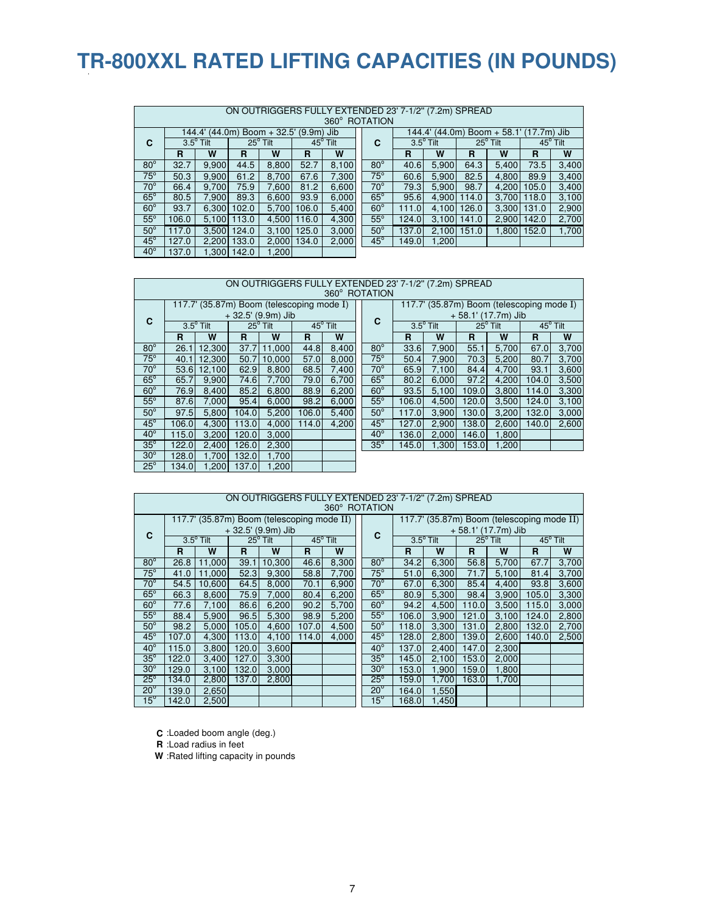| ON OUTRIGGERS FULLY EXTENDED 23' 7-1/2" (7.2m) SPREAD |  |
|-------------------------------------------------------|--|
|                                                       |  |

|            |       |                  |             |                         |                   | ON OUTRIGGERS FULLY EXTENDED 23' 7-1/2" (7.2m) SPREAD<br>360° ROTATION |  |                  |       |                          |       |                 |             |       |
|------------|-------|------------------|-------------|-------------------------|-------------------|------------------------------------------------------------------------|--|------------------|-------|--------------------------|-------|-----------------|-------------|-------|
|            |       | 144.4' (44.0m)   |             | Boom + 32.5' (9.9m) Jib |                   |                                                                        |  | 144.4' (44.0m)   |       | Boom + 58.1' (17.7m) Jib |       |                 |             |       |
| C          |       | $3.5^\circ$ Tilt |             | $25^\circ$ Tilt         | $45^{\circ}$ Tilt | C                                                                      |  | $3.5^\circ$ Tilt |       | $25^\circ$ Tilt          |       | $45^\circ$ Tilt |             |       |
|            | R     | W                | R           | W                       | R                 | W                                                                      |  |                  | R     | W                        | R     | W               | R.          | W     |
| $80^\circ$ | 32.7  | 9,900            | 44.5        | 8,800                   | 52.7              | 8,100                                                                  |  | $80^\circ$       | 40.6  | 5,900                    | 64.3  | 5,400           | 73.5        | 3,400 |
| $75^\circ$ | 50.3  | 9,900            | 61.2        | 8,700                   | 67.6              | 7,300                                                                  |  | $75^\circ$       | 60.6  | 5,900                    | 82.5  | 4,800           | 89.9        | 3,400 |
| $70^\circ$ | 66.4  | 9.700            | 75.9        | 7,600                   | 81.2              | 6,600                                                                  |  | $70^\circ$       | 79.3  | 5,900                    | 98.7  | 4,200           | 105.0       | 3,400 |
| $65^\circ$ | 80.5  | 7.900            | 89.3        | 6.600                   | 93.9              | 6,000                                                                  |  | $65^\circ$       | 95.6  | 4,900                    | 114.0 |                 | 3.700 118.0 | 3,100 |
| $60^\circ$ | 93.7  | 6.300            | 102.0       | 5,700                   | 106.0             | 5,400                                                                  |  | $60^\circ$       | 111.0 | 4.100                    | 126.0 |                 | 3,300 131.0 | 2,900 |
| $55^\circ$ | 106.0 | 5.100            | 113.0       | 4,500                   | 116.0             | 4,300                                                                  |  | $55^\circ$       | 124.0 | 3,100                    | 141.0 |                 | 2,900 142.0 | 2,700 |
| $50^\circ$ | 117.0 | 3.500            | 124.0       | 3.100                   | 125.0             | 3,000                                                                  |  | $50^\circ$       | 137.0 | 2,100                    | 151.0 |                 | 1.800 152.0 | 1,700 |
| $45^\circ$ | 127.0 | 2.200            | 133.0       | 2,000                   | 134.0             | 2,000                                                                  |  | $45^\circ$       | 149.0 | 1,200                    |       |                 |             |       |
| $40^\circ$ | 137.0 |                  | 1.300 142.0 | 1,200                   |                   |                                                                        |  |                  |       |                          |       |                 |             |       |

|            |       |                    |        |                                           |       | ON OUTRIGGERS FULLY EXTENDED 23' 7-1/2" (7.2m) SPREAD<br>360° ROTATION |              |       |                                           |       |                      |                 |       |
|------------|-------|--------------------|--------|-------------------------------------------|-------|------------------------------------------------------------------------|--------------|-------|-------------------------------------------|-------|----------------------|-----------------|-------|
|            |       |                    |        | 117.7' (35.87m) Boom (telescoping mode I) |       |                                                                        |              |       | 117.7' (35.87m) Boom (telescoping mode I) |       |                      |                 |       |
| C          |       |                    |        | + 32.5' (9.9m) Jib                        |       |                                                                        | C            |       |                                           |       | $+58.1'$ (17.7m) Jib |                 |       |
|            |       | $3.5^{\circ}$ Tilt |        | $25^\circ$ Tilt                           |       | $45^\circ$ Tilt                                                        |              |       | $3.5^{\circ}$ Tilt                        |       | $25^\circ$ Tilt      | $45^\circ$ Tilt |       |
|            | R     | W                  | R      | W                                         | R     | W                                                                      |              | R     | W                                         | R     | W                    | R               | W     |
| $80^\circ$ | 26.1  | 12,300             | 37.7   | 11.000                                    | 44.8  | 8,400                                                                  | $80^\circ$   | 33.6  | 7,900                                     | 55.1  | 5,700                | 67.0            | 3,700 |
| $75^\circ$ | 40.1  | 12.300             | 50.7   | 10.000                                    | 57.0  | 8,000                                                                  | $75^\circ$   | 50.4  | 7,900                                     | 70.3  | 5,200                | 80.7            | 3,700 |
| $70^\circ$ | 53.61 | 12,100             | 62.9   | 8,800                                     | 68.5  | 7,400                                                                  | $70^{\circ}$ | 65.9  | 7,100                                     | 84.4  | 4,700                | 93.1            | 3,600 |
| $65^\circ$ | 65.7  | 9.900              | 74.6   | 7.700                                     | 79.0  | 6,700                                                                  | $65^\circ$   | 80.2  | 6,000                                     | 97.2  | 4,200                | 104.0           | 3,500 |
| $60^\circ$ | 76.9  | 8.400              | 85.2   | 6,800                                     | 88.9  | 6,200                                                                  | $60^\circ$   | 93.5  | 5,100                                     | 109.0 | 3,800                | 114.0           | 3,300 |
| $55^\circ$ | 87.6  | 7,000              | 95.4   | 6,000                                     | 98.2  | 6,000                                                                  | $55^\circ$   | 106.0 | 4,500                                     | 120.0 | 3,500                | 124.0           | 3,100 |
| $50^\circ$ | 97.5  | 5,800              | 104.0  | 5,200                                     | 106.0 | 5,400                                                                  | $50^\circ$   | 117.0 | 3,900                                     | 130.0 | 3,200                | 132.0           | 3,000 |
| $45^\circ$ | 106.0 | 4.300              | 113.0  | 4,000                                     | 114.0 | 4,200                                                                  | $45^\circ$   | 127.0 | 2,900                                     | 138.0 | 2,600                | 140.0           | 2,600 |
| $40^\circ$ | 115.0 | 3.200              | 120.0  | 3,000                                     |       |                                                                        | $40^\circ$   | 136.0 | 2,000                                     | 146.0 | 1,800                |                 |       |
| $35^\circ$ | 122.0 | 2,400              | 126.0  | 2,300                                     |       |                                                                        | $35^\circ$   | 145.0 | 1,300                                     | 153.0 | 1,200                |                 |       |
| $30^\circ$ | 128.0 | 1,700              | 132.0  | 1,700                                     |       |                                                                        |              |       |                                           |       |                      |                 |       |
| $25^\circ$ | 134.0 | 1.200              | 137.01 | 1,200                                     |       |                                                                        |              |       |                                           |       |                      |                 |       |

|              |       |                    |       | ON OUTRIGGERS FULLY EXTENDED 23' 7-1/2" (7.2m) SPREAD |       | 360° ROTATION   |              |       |                    |       |                                            |       |                 |
|--------------|-------|--------------------|-------|-------------------------------------------------------|-------|-----------------|--------------|-------|--------------------|-------|--------------------------------------------|-------|-----------------|
|              |       |                    |       | 117.7' (35.87m) Boom (telescoping mode II)            |       |                 |              |       |                    |       | 117.7' (35.87m) Boom (telescoping mode II) |       |                 |
| C            |       |                    |       | $+32.5'$ (9.9m) Jib                                   |       |                 | C            |       |                    |       | $+58.1'$ (17.7m) Jib                       |       |                 |
|              |       | $3.5^{\circ}$ Tilt |       | $25^\circ$ Tilt                                       |       | $45^\circ$ Tilt |              |       | $3.5^{\circ}$ Tilt |       | $25^{\circ}$ Tilt                          |       | $45^\circ$ Tilt |
|              | R     | W                  | R     | W                                                     | R     | W               |              | R     | W                  | R     | W                                          | R     | W               |
| $80^\circ$   | 26.8  | 11,000             | 39.1  | 10,300                                                | 46.6  | 8,300           | $80^\circ$   | 34.2  | 6,300              | 56.8  | 5,700                                      | 67.7  | 3,700           |
| $75^\circ$   | 41.0  | 11,000             | 52.3  | 9,300                                                 | 58.8  | 7,700           | $75^\circ$   | 51.0  | 6,300              | 71.7  | 5,100                                      | 81.4  | 3,700           |
| $70^\circ$   | 54.5  | 10,600             | 64.5  | 8,000                                                 | 70.1  | 6,900           | $70^{\circ}$ | 67.0  | 6,300              | 85.4  | 4,400                                      | 93.8  | 3,600           |
| $65^\circ$   | 66.3  | 8,600              | 75.9  | 7,000                                                 | 80.4  | 6,200           | $65^\circ$   | 80.9  | 5,300              | 98.4  | 3,900                                      | 105.0 | 3,300           |
| $60^\circ$   | 77.6  | 7,100              | 86.6  | 6,200                                                 | 90.2  | 5,700           | $60^\circ$   | 94.2  | 4,500              | 110.0 | 3,500                                      | 115.0 | 3,000           |
| $55^\circ$   | 88.4  | 5,900              | 96.5  | 5,300                                                 | 98.9  | 5,200           | $55^\circ$   | 106.0 | 3,900              | 121.0 | 3,100                                      | 124.0 | 2,800           |
| $50^\circ$   | 98.2  | 5,000              | 105.0 | 4,600                                                 | 107.0 | 4,500           | $50^\circ$   | 118.0 | 3,300              | 131.0 | 2,800                                      | 132.0 | 2,700           |
| $45^\circ$   | 107.0 | 4,300              | 113.0 | 4,100                                                 | 114.0 | 4,000           | $45^\circ$   | 128.0 | 2,800              | 139.0 | 2,600                                      | 140.0 | 2,500           |
| $40^\circ$   | 115.0 | 3,800              | 120.0 | 3,600                                                 |       |                 | $40^\circ$   | 137.0 | 2,400              | 147.0 | 2,300                                      |       |                 |
| $35^\circ$   | 122.0 | 3,400              | 127.0 | 3,300                                                 |       |                 | $35^\circ$   | 145.0 | 2,100              | 153.0 | 2,000                                      |       |                 |
| $30^\circ$   | 129.0 | 3,100              | 132.0 | 3,000                                                 |       |                 | $30^\circ$   | 153.0 | 1,900              | 159.0 | 1,800                                      |       |                 |
| $25^\circ$   | 134.0 | 2,800              | 137.0 | 2,800                                                 |       |                 | $25^\circ$   | 159.0 | 1,700              | 163.0 | 1,700                                      |       |                 |
| $20^{\circ}$ | 139.0 | 2,650              |       |                                                       |       |                 | $20^{\circ}$ | 164.0 | 1,550              |       |                                            |       |                 |
| $15^{\circ}$ | 142.0 | 2,500              |       |                                                       |       |                 | $15^{\circ}$ | 168.0 | 1,450              |       |                                            |       |                 |

**C** :Loaded boom angle (deg.)

**R** :Load radius in feet

**W** :Rated lifting capacity in pounds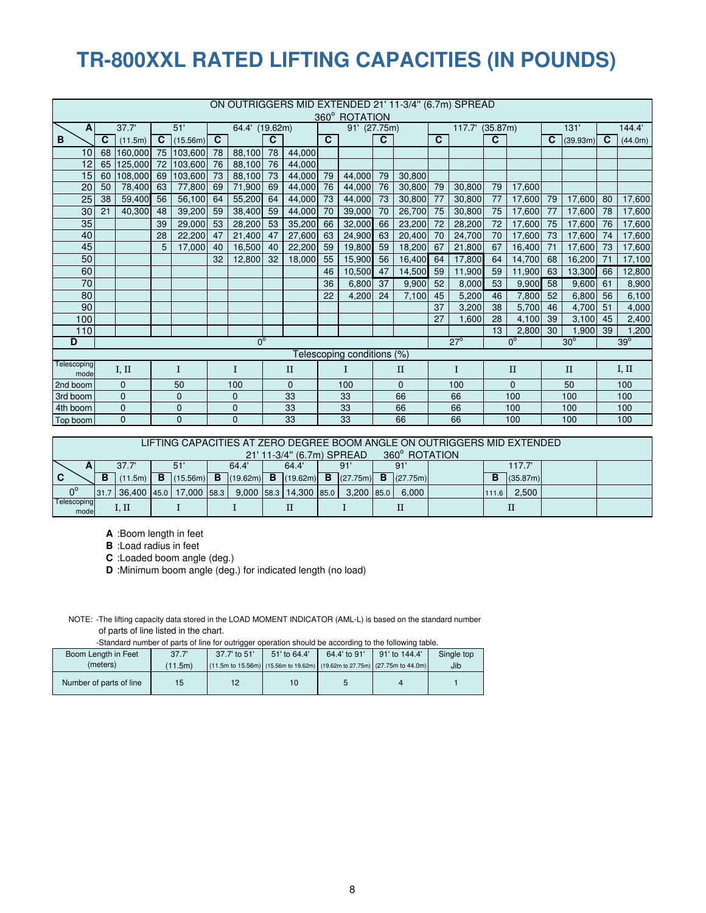|             |      |                                                                     |              |    |                |    |                |    |          |    |                            |    |          |    | ON OUTRIGGERS MID EXTENDED 21' 11-3/4" (6.7m) SPREAD |                |             |    |            |              |            |
|-------------|------|---------------------------------------------------------------------|--------------|----|----------------|----|----------------|----|----------|----|----------------------------|----|----------|----|------------------------------------------------------|----------------|-------------|----|------------|--------------|------------|
|             |      |                                                                     |              |    |                |    |                |    |          |    | 360° ROTATION              |    |          |    |                                                      |                |             |    |            |              |            |
|             | A    |                                                                     | 37.7'        |    | 51'            |    | 64.4' (19.62m) |    |          |    | 91' (27.75m)               |    |          |    | 117.7'                                               | (35.87m)       |             |    | 131'       |              | 144.4'     |
| B           |      | C                                                                   | (11.5m)      | C  | (15.56m)       | C  |                | C  |          | C  |                            | C  |          | C  |                                                      | $\overline{c}$ |             | C  | (39.93m)   | $\mathbf{C}$ | (44.0m)    |
|             | 10   | 68                                                                  | 160,000      | 75 | 103,600        | 78 | 88,100         | 78 | 44,000   |    |                            |    |          |    |                                                      |                |             |    |            |              |            |
|             | 12   | 65                                                                  | 125,000      | 72 | 103,600        | 76 | 88,100         | 76 | 44,000   |    |                            |    |          |    |                                                      |                |             |    |            |              |            |
|             | 15   | 60                                                                  | 108,000      | 69 | 103,600        | 73 | 88,100         | 73 | 44,000   | 79 | 44,000                     | 79 | 30,800   |    |                                                      |                |             |    |            |              |            |
|             | 20   | 50                                                                  | 78,400       | 63 | 77,800         | 69 | 71,900         | 69 | 44,000   | 76 | 44,000                     | 76 | 30,800   | 79 | 30,800                                               | 79             | 17,600      |    |            |              |            |
|             | 25   | 38                                                                  | 59,400       | 56 | 56,100         | 64 | 55,200         | 64 | 44,000   | 73 | 44,000                     | 73 | 30,800   | 77 | 30,800                                               | 77             | 17,600      | 79 | 17,600     | 80           | 17,600     |
|             | 30   | 21                                                                  | 40,300       | 48 | 39,200         | 59 | 38,400         | 59 | 44,000   | 70 | 39,000                     | 70 | 26,700   | 75 | 30,800                                               | 75             | 17,600      | 77 | 17,600     | 78           | 17,600     |
|             | 35   |                                                                     |              | 39 | 29,000         | 53 | 28,200         | 53 | 35,200   | 66 | 32,000                     | 66 | 23,200   | 72 | 28,200                                               | 72             | 17,600      | 75 | 17,600     | 76           | 17,600     |
|             | 40   |                                                                     |              | 28 | 22,200         | 47 | 21,400         | 47 | 27,600   | 63 | 24,900                     | 63 | 20,400   | 70 | 24,700                                               | 70             | 17,600      | 73 | 17,600     | 74           | 17,600     |
|             | 45   |                                                                     |              | 5  | 17,000         | 40 | 16,500         | 40 | 22,200   | 59 | 19,800                     | 59 | 18,200   | 67 | 21,800                                               | 67             | 16,400      | 71 | 17,600     | 73           | 17,600     |
|             | 50   |                                                                     |              |    |                | 32 | 12,800         | 32 | 18,000   | 55 | 15,900                     | 56 | 16,400   | 64 | 17,800                                               | 64             | 14,700      | 68 | 16,200     | 71           | 17,100     |
|             | 60   |                                                                     |              |    |                |    |                |    |          | 46 | 10,500                     | 47 | 14,500   | 59 | 11,900                                               | 59             | 11,900      | 63 | 13,300     | 66           | 12,800     |
|             | 70   |                                                                     |              |    |                |    |                |    |          | 36 | 6,800                      | 37 | 9,900    | 52 | 8,000                                                | 53             | 9,900       | 58 | 9,600      | 61           | 8,900      |
|             | 80   |                                                                     |              |    |                |    |                |    |          | 22 | 4,200                      | 24 | 7,100    | 45 | 5,200                                                | 46             | 7,800       | 52 | 6,800      | 56           | 6,100      |
|             | 90   |                                                                     |              |    |                |    |                |    |          |    |                            |    |          | 37 | 3,200                                                | 38             | 5,700       | 46 | 4,700      | 51           | 4,000      |
|             | 100  |                                                                     |              |    |                |    |                |    |          |    |                            |    |          | 27 | 1,600                                                | 28             | 4,100       | 39 | 3,100      | 45           | 2,400      |
|             | 110  |                                                                     |              |    |                |    |                |    |          |    |                            |    |          |    |                                                      | 13             | 2,800       | 30 | 1,900      | 39           | 1,200      |
| D           |      |                                                                     |              |    |                |    | $0^{\circ}$    |    |          |    |                            |    |          |    | $27^\circ$                                           |                | $0^{\circ}$ |    | $30^\circ$ |              | $39^\circ$ |
|             |      |                                                                     |              |    |                |    |                |    |          |    | Telescoping conditions (%) |    |          |    |                                                      |                |             |    |            |              |            |
| Telescoping | mode |                                                                     | I, II        |    | $\bf{I}$       |    | I              |    | $\rm II$ |    | I                          |    | $\rm II$ |    | I                                                    |                | $_{\rm II}$ |    | $\rm II$   |              | I, II      |
| 2nd boom    |      | $\mathbf{0}$<br>50<br>100<br>$\Omega$<br>$\mathbf{0}$<br>100<br>100 |              |    |                |    |                |    |          |    |                            |    |          |    | $\Omega$                                             |                | 50          |    | 100        |              |            |
| 3rd boom    |      |                                                                     | $\mathbf{0}$ |    | $\mathbf{0}$   |    | $\mathbf{0}$   |    | 33       |    | 33                         |    | 66       |    | 66                                                   |                | 100         |    | 100        |              | 100        |
| 4th boom    |      |                                                                     | $\mathbf{0}$ |    | $\overline{0}$ |    | $\mathbf{0}$   |    | 33       |    | 33                         |    | 66       |    | 66                                                   |                | 100         |    | 100        |              | 100        |
| Top boom    |      |                                                                     | $\mathbf{0}$ |    | $\overline{0}$ |    | $\mathbf{0}$   |    | 33       |    | 33                         |    | 66       |    | 66                                                   |                | 100         |    | 100        |              | 100        |

LIFTING CAPACITIES AT ZERO DEGREE BOOM ANGLE ON OUTRIGGERS MID EXTENDED

|  | 21' 11-3/4" (6.7m) SPREAD | 360° ROTATION |
|--|---------------------------|---------------|
|  |                           |               |

| л.                  |        | 37.7                      |   | 51       |   | 64.4'    |   | 64.4                     | 91                  |   |                                   |       | 117.7    |  |
|---------------------|--------|---------------------------|---|----------|---|----------|---|--------------------------|---------------------|---|-----------------------------------|-------|----------|--|
| $\mathbf{C}$        | Е<br>D | (11.5m)                   | в | (15.56m) | B | (19.62m) | B | (19.62m)                 | <b>B</b> $(27.75m)$ | B | $\left  (27.75 \text{m}) \right $ |       | (35.87m) |  |
| $n^{0}$             | 31.7   | $36,400$ 45.0 17,000 58.3 |   |          |   |          |   | $9,000$ 58.3 14,300 85.0 | $3,200$ 85.0        |   | 6,000                             | 111.6 | 2.500    |  |
| Telescoping<br>mode |        | 1, 11                     |   |          |   |          |   |                          |                     |   |                                   |       |          |  |

**A** :Boom length in feet

**B** :Load radius in feet

**C** :Loaded boom angle (deg.)

**D** :Minimum boom angle (deg.) for indicated length (no load)

NOTE: -The lifting capacity data stored in the LOAD MOMENT INDICATOR (AML-L) is based on the standard number of parts of line listed in the chart.

-Standard number of parts of line for outrigger operation should be according to the following table.

|                         |         | .                                                                                    |              |              |               |            |
|-------------------------|---------|--------------------------------------------------------------------------------------|--------------|--------------|---------------|------------|
| Boom Length in Feet     | 37.7'   | 37.7' to 51'                                                                         | 51' to 64.4' | 64.4' to 91' | 91' to 144.4' | Single top |
| (meters)                | (11.5m) | $(11.5m \text{ to } 15.56m)$ (15.56m to 19.62m) (19.62m to 27.75m) (27.75m to 44.0m) |              |              |               | Jib        |
| Number of parts of line | 15      | 12                                                                                   | 10           |              |               |            |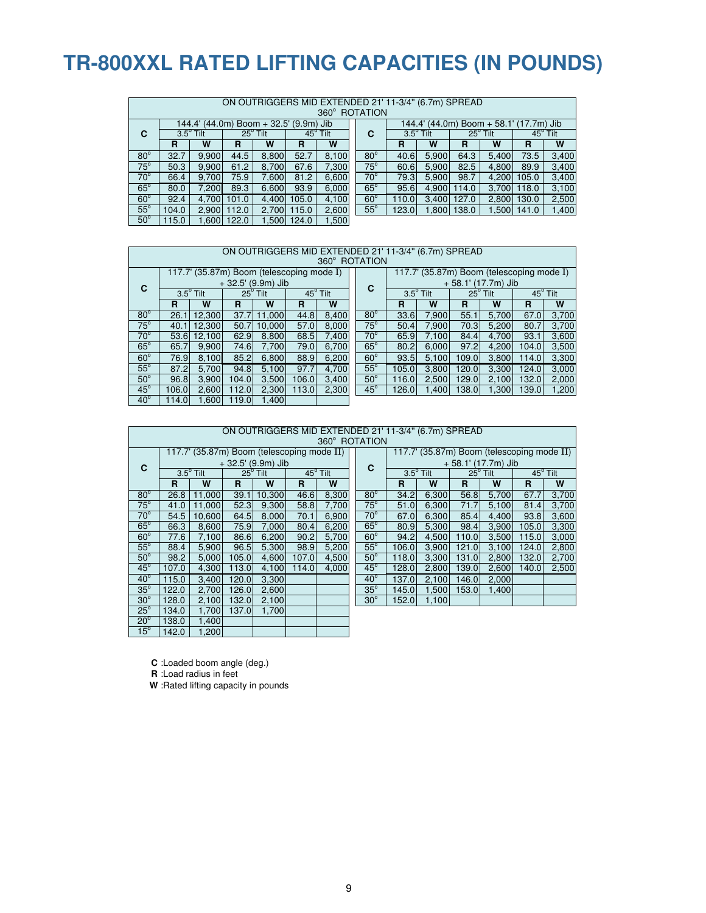|              |                                                          |                                                                                                          |       |                         |       | $360^\circ$ | <b>ROTATION</b> | ON OUTRIGGERS MID EXTENDED 21' 11-3/4" (6.7m) SPREAD |                  |       |                      |               |                 |  |  |
|--------------|----------------------------------------------------------|----------------------------------------------------------------------------------------------------------|-------|-------------------------|-------|-------------|-----------------|------------------------------------------------------|------------------|-------|----------------------|---------------|-----------------|--|--|
|              | 144.4'                                                   | (44.0m)                                                                                                  |       | Boom + 32.5' (9.9m) Jib |       |             |                 | 144.4'                                               |                  |       | (44.0m) Boom + 58.1' | $(17.7m)$ Jib |                 |  |  |
| C            |                                                          | $3.5^{\circ}$ Tilt                                                                                       |       | $25^\circ$ Tilt         |       | 45° Tilt    | C               |                                                      | $3.5^\circ$ Tilt |       | $25^\circ$ Tilt      |               | $45^\circ$ Tilt |  |  |
|              | W<br>W<br>W<br>W<br>W<br>w<br>R<br>R<br>R<br>R<br>R<br>R |                                                                                                          |       |                         |       |             |                 |                                                      |                  |       |                      |               |                 |  |  |
| $80^\circ$   | 32.7                                                     | $80^\circ$<br>8,100<br>3,400<br>52.7<br>73.5<br>9,900<br>8,800<br>5,900<br>64.3<br>44.5<br>40.6<br>5,400 |       |                         |       |             |                 |                                                      |                  |       |                      |               |                 |  |  |
| $75^\circ$   | 50.3                                                     | 9,900                                                                                                    | 61.2  | 8,700                   | 67.6  | 7,300       | $75^\circ$      | 60.6                                                 | 5,900            | 82.5  | 4,800                | 89.9          | 3,400           |  |  |
| $70^\circ$   | 66.4                                                     | 9,700                                                                                                    | 75.9  | 7,600                   | 81.2  | 6,600       | $70^{\circ}$    | 79.3                                                 | 5,900            | 98.7  | 4,200                | 105.0         | 3,400           |  |  |
| $65^\circ$   | 80.0                                                     | 7,200                                                                                                    | 89.3  | 6,600                   | 93.9  | 6,000       | $65^\circ$      | 95.6                                                 | 4,900            | 114.0 | 3,700                | 118.0         | 3,100           |  |  |
| $60^{\circ}$ | 92.4                                                     | 4,700                                                                                                    | 101.0 | 4,400                   | 105.0 | 4,100       | $60^{\circ}$    | 10.0                                                 | 3,400            | 127.0 | 2,800                | 130.0         | 2,500           |  |  |
| $55^\circ$   | 104.0                                                    | 2,900                                                                                                    | 112.0 | 2,700                   | 115.0 | 2,600       | $55^\circ$      | 23.0                                                 | 1.8001           | 138.0 | 1,500                | 141.0         | 1,400           |  |  |
| $50^\circ$   | 115.0                                                    | 0.600                                                                                                    | 122.0 | 1,500                   | 124.0 | .500        |                 |                                                      |                  |       |                      |               |                 |  |  |

|              |       |                    |       |                                           |        | ON OUTRIGGERS MID EXTENDED 21' 11-3/4" (6.7m) SPREAD | 360° ROTATION |        |                    |       |                                    |       |                 |
|--------------|-------|--------------------|-------|-------------------------------------------|--------|------------------------------------------------------|---------------|--------|--------------------|-------|------------------------------------|-------|-----------------|
|              |       |                    |       | 117.7' (35.87m) Boom (telescoping mode I) |        |                                                      |               | 117.7' |                    |       | (35.87m) Boom (telescoping mode I) |       |                 |
| C            |       |                    |       | $+32.5'$ (9.9m) Jib                       |        |                                                      | C             |        |                    |       | + 58.1' (17.7m) Jib                |       |                 |
|              |       | $3.5^{\circ}$ Tilt |       | $25^\circ$ Tilt                           |        | $45^\circ$ Tilt                                      |               |        | $3.5^{\circ}$ Tilt |       | $25^\circ$ Tilt                    |       | $45^\circ$ Tilt |
|              | R     | W                  | R     | W                                         | R.     | W                                                    |               | R      | W                  | R     | W                                  | R     | W               |
| $80^\circ$   | 26.1  | 12,300             | 37.7  | 11.000                                    | 44.8   | 8,400                                                | $80^\circ$    | 33.6   | 7.900              | 55.1  | 5.700                              | 67.0  | 3,700           |
| $75^\circ$   | 40.1  | 12.300             | 50.7  | 10.000                                    | 57.0   | 8.000                                                | $75^{\circ}$  | 50.4   | 7.900              | 70.3  | 5.200                              | 80.7  | 3.700           |
| $70^\circ$   | 53.6  | 12.100             | 62.9  | 8.800                                     | 68.5   | 7,400                                                | $70^{\circ}$  | 65.9   | 7.100              | 84.4  | 4.700                              | 93.1  | 3,600           |
| $65^\circ$   | 65.7  | 9.900              | 74.6  | 7.700                                     | 79.0   | 6,700                                                | $65^\circ$    | 80.2   | 6.000              | 97.2  | 4,200                              | 104.0 | 3,500           |
| $60^\circ$   | 76.9  | 8.100              | 85.2  | 6,800                                     | 88.9   | 6,200                                                | $60^\circ$    | 93.5   | 5.100              | 09.0  | 3,800                              | 114.0 | 3,300           |
| $55^\circ$   | 87.2  | 5.700              | 94.8  | 5.100                                     | 97.7   | 4.700                                                | $55^\circ$    | 105.0  | 3.800              | 120.0 | 3.300                              | 124.0 | 3.000           |
| $50^\circ$   | 96.8  | 3.900              | 104.0 | 3.500                                     | 106.0l | 3.400                                                | $50^\circ$    | 116.0  | 2.500              | 129.0 | 2.100                              | 132.0 | 2,000           |
| $45^\circ$   | 106.0 | 2.600              | 112.0 | 2.300                                     | 113.0  | 2.300                                                | $45^\circ$    | 126.0  | 1.400              | 38.0  | 1,300                              | 139.0 | 1,200           |
| $40^{\circ}$ | 114.0 | 1.6001             | 119.0 | 1.400                                     |        |                                                      |               |        |                    |       |                                    |       |                 |

#### ON OUTRIGGERS MID EXTENDED 21' 11-3/4'' (6.7m) SPREAD

|              |       |                                            |       |                    |       | 360° ROTATION   |              |       |                          |                 |                |
|--------------|-------|--------------------------------------------|-------|--------------------|-------|-----------------|--------------|-------|--------------------------|-----------------|----------------|
|              |       | 117.7' (35.87m) Boom (telescoping mode II) |       |                    |       |                 |              |       | 117.7' (35.87m) Boom (te |                 |                |
| C            |       |                                            |       | + 32.5' (9.9m) Jib |       |                 | C            |       |                          | $+58.1'$ (17.7) |                |
|              |       | $3.5^{\circ}$ Tilt                         |       | $25^\circ$ Tilt    |       | $45^\circ$ Tilt |              |       | $3.5^\circ$ Tilt         | $25^\circ$ Tilt |                |
|              | R     | W                                          | R     | W                  | R     | W               |              | R     | W                        | R               |                |
| $80^\circ$   | 26.8  | 11,000                                     | 39.1  | 10,300             | 46.6  | 8,300           | $80^\circ$   | 34.2  | 6,300                    | 56.8            | 5              |
| $75^\circ$   | 41.0  | 11,000                                     | 52.3  | 9,300              | 58.8  | 7,700           | $75^\circ$   | 51.0  | 6,300                    | 71.7            | 5              |
| $70^\circ$   | 54.5  | 10,600                                     | 64.5  | 8,000              | 70.1  | 6,900           | $70^\circ$   | 67.0  | 6,300                    | 85.4            | $\overline{4}$ |
| $65^\circ$   | 66.3  | 8,600                                      | 75.9  | 7,000              | 80.4  | 6,200           | $65^\circ$   | 80.9  | 5,300                    | 98.4            | 3              |
| $60^\circ$   | 77.6  | 7.100                                      | 86.6  | 6,200              | 90.2  | 5,700           | $60^\circ$   | 94.2  | 4.500                    | 110.0           | 3              |
| $55^\circ$   | 88.4  | 5,900                                      | 96.5  | 5,300              | 98.9  | 5,200           | $55^{\circ}$ | 106.0 | 3,900                    | 121.0           | 3              |
| $50^\circ$   | 98.2  | 5,000                                      | 105.0 | 4,600              | 107.0 | 4,500           | $50^\circ$   | 118.0 | 3,300                    | 131.0           | $\overline{c}$ |
| $45^\circ$   | 107.0 | 4,300                                      | 113.0 | 4,100              | 114.0 | 4,000           | $45^\circ$   | 128.0 | 2,800                    | 139.0           | $\overline{2}$ |
| $40^{\circ}$ | 115.0 | 3,400                                      | 120.0 | 3,300              |       |                 | $40^{\circ}$ | 137.0 | 2,100                    | 146.0           | $\overline{2}$ |
| $35^\circ$   | 122.0 | 2,700                                      | 126.0 | 2,600              |       |                 | $35^\circ$   | 145.0 | 1,500                    | 153.0           | $\mathbf{1}$   |
| $30^\circ$   | 128.0 | 2,100                                      | 132.0 | 2,100              |       |                 | $30^\circ$   | 152.0 | 1,100                    |                 |                |
| $25^\circ$   | 134.0 | 1,700                                      | 137.0 | 1,700              |       |                 |              |       |                          |                 |                |
| $20^{\circ}$ | 138.0 | 1,400                                      |       |                    |       |                 |              |       |                          |                 |                |
| $15^{\circ}$ | 142.0 | 1,200                                      |       |                    |       |                 |              |       |                          |                 |                |

|                 |                                           |       |                     |       | $360^\circ$     | <b>ROTATION</b> |                    |                                            |       |                      |                 |       |
|-----------------|-------------------------------------------|-------|---------------------|-------|-----------------|-----------------|--------------------|--------------------------------------------|-------|----------------------|-----------------|-------|
|                 | 17.7' (35.87m) Boom (telescoping mode II) |       |                     |       |                 |                 |                    | 117.7' (35.87m) Boom (telescoping mode II) |       |                      |                 |       |
|                 |                                           |       | $+32.5'$ (9.9m) Jib |       |                 | C               |                    |                                            |       | $+58.1'$ (17.7m) Jib |                 |       |
|                 | $3.5^\circ$ Tilt                          |       | $25^\circ$ Tilt     |       | $45^\circ$ Tilt |                 | $3.5^{\circ}$ Tilt |                                            |       | $25^\circ$ Tilt      | $45^\circ$ Tilt |       |
| R               | W                                         | R     | W                   | R     | W               |                 | R                  | W                                          | R     | W                    | R               | W     |
| .8 <sup>2</sup> | 11.000                                    | 39.1  | 0.300               | 46.6  | 8.300           | $80^\circ$      | 34.2               | 6.300                                      | 56.8  | 5.700                | 67.7            | 3.700 |
| 1.0             | 11.000                                    | 52.3  | 9.300               | 58.8  | 7,700           | $75^\circ$      | 51.0               | 6,300                                      | 71.7  | 5.100                | 81.4            | 3,700 |
| 54.5            | 10.600                                    | 64.5  | 8.000               | 70.1  | 6,900           | $70^\circ$      | 67.0               | 6,300                                      | 85.4  | 4.400                | 93.8            | 3,600 |
| 6.3             | 8,600                                     | 75.9  | 7.000               | 80.4  | 6,200           | $65^\circ$      | 80.9               | 5,300                                      | 98.4  | 3,900                | 105.0           | 3,300 |
| 7.6             | 7,100                                     | 86.6  | 6,200               | 90.2  | 5,700           | $60^\circ$      | 94.2               | 4,500                                      | 110.0 | 3,500                | 115.0           | 3,000 |
| 8.4             | 5,900                                     | 96.5  | 5,300               | 98.9  | 5,200           | $55^\circ$      | 106.0              | 3,900                                      | 121.0 | 3,100                | 124.0           | 2,800 |
| 8.2             | 5,000                                     | 105.0 | 4.600               | 107.0 | 4,500           | $50^\circ$      | 118.0              | 3.300                                      | 131.0 | 2,800                | 32.0            | 2,700 |
| 7.0             | 4,300                                     | 113.0 | 4,100               | 114.0 | 4,000           | $45^\circ$      | 128.0              | 2,800                                      | 139.0 | 2,600                | 140.0           | 2,500 |
| 5.0             | 3.400                                     | 120.0 | 3,300               |       |                 | $40^{\circ}$    | 137.0              | 2,100                                      | 146.0 | 2,000                |                 |       |
| 2.0             | 2,700                                     | 126.0 | 2,600               |       |                 | $35^\circ$      | 145.0              | 1,500                                      | 153.0 | 1,400                |                 |       |
| 0.82            | 2,100                                     | 132.0 | 2,100               |       |                 | $30^\circ$      | 152.0              | 1,100                                      |       |                      |                 |       |
| $\sim$          | 1700                                      | 1070  | $-700$              |       |                 |                 |                    |                                            |       |                      |                 |       |

**C** :Loaded boom angle (deg.)

**R** :Load radius in feet

**W** :Rated lifting capacity in pounds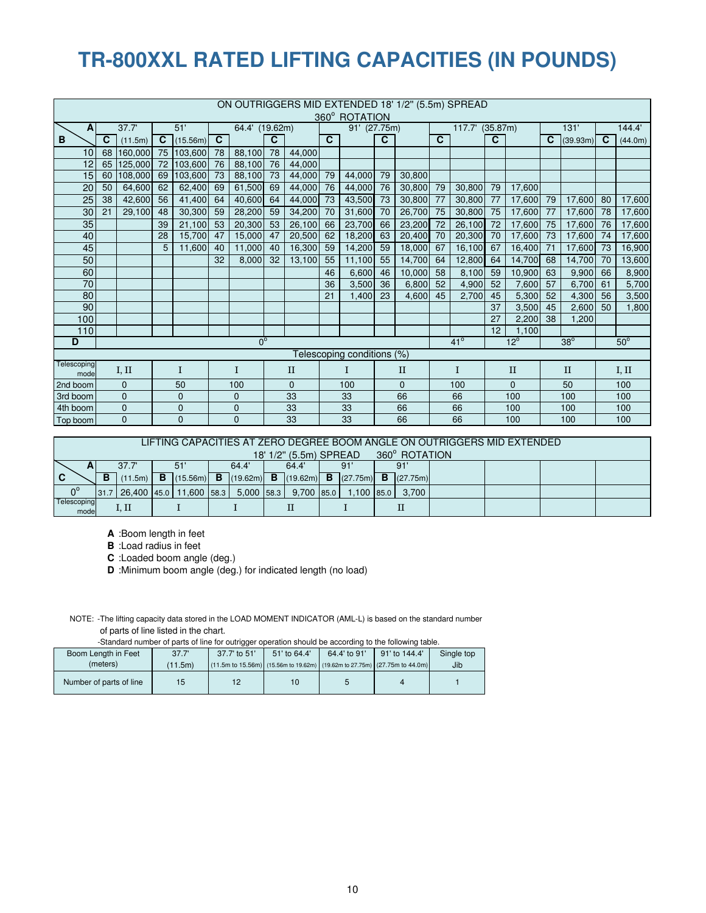|                     |                 |                                                                            |    |              |              |                |    |         |    | ON OUTRIGGERS MID EXTENDED 18' 1/2" (5.5m) SPREAD |    |           |    |              |          |              |    |              |    |            |
|---------------------|-----------------|----------------------------------------------------------------------------|----|--------------|--------------|----------------|----|---------|----|---------------------------------------------------|----|-----------|----|--------------|----------|--------------|----|--------------|----|------------|
|                     |                 |                                                                            |    |              |              |                |    |         |    | 360° ROTATION                                     |    |           |    |              |          |              |    |              |    |            |
|                     | A               | 37.7'                                                                      |    | 51'          |              | 64.4' (19.62m) |    |         |    | 91' (27.75m)                                      |    |           |    | 117.7'       | (35.87m) |              |    | 131'         |    | 144.4'     |
| B                   | C               | (11.5m)                                                                    | C  | (15.56m)     | $\mathbf{C}$ |                | C  |         | C  |                                                   | C  |           | C  |              | C        |              | C  | (39.93m)     | C  | (44.0m)    |
|                     | 68<br>10        | 160,000                                                                    |    | 75 103,600   | 78           | 88,100         | 78 | 44.000  |    |                                                   |    |           |    |              |          |              |    |              |    |            |
|                     | 12              | 65 125,000                                                                 | 72 | 103,600      | 76           | 88,100         | 76 | 44,000  |    |                                                   |    |           |    |              |          |              |    |              |    |            |
|                     | 15              | 60 108,000                                                                 |    | 69 103,600   | 73           | 88,100         | 73 | 44,000  | 79 | 44,000                                            | 79 | 30,800    |    |              |          |              |    |              |    |            |
| 20                  | 50              | 64,600                                                                     | 62 | 62,400       | 69           | 61,500         | 69 | 44,000  | 76 | 44,000                                            | 76 | 30,800    | 79 | 30,800       | 79       | 17,600       |    |              |    |            |
| 25                  | 38              | 42,600                                                                     | 56 | 41,400       | 64           | 40,600         | 64 | 44,000  | 73 | 43,500                                            | 73 | 30,800    | 77 | 30,800       | 77       | 17,600       | 79 | 17,600       | 80 | 17,600     |
| 30                  | 21              | 29,100                                                                     | 48 | 30,300       | 59           | 28,200         | 59 | 34,200  | 70 | 31,600                                            | 70 | 26,700    | 75 | 30,800       | 75       | 17,600       | 77 | 17,600       | 78 | 17,600     |
|                     | 35              |                                                                            | 39 | 21,100       | 53           | 20,300         | 53 | 26,100  | 66 | 23,700                                            | 66 | 23,200 72 |    | 26,100       | 72       | 17,600       | 75 | 17,600       | 76 | 17,600     |
|                     | 40              |                                                                            | 28 | 15,700       | 47           | 15,000         | 47 | 20,500  | 62 | 18,200                                            | 63 | 20,400    | 70 | 20,300       | 70       | 17,600       | 73 | 17,600       | 74 | 17,600     |
|                     | 45              |                                                                            | 5  | 11,600       | 40           | 11,000         | 40 | 16,300  | 59 | 14,200                                            | 59 | 18,000    | 67 | 16,100       | 67       | 16,400       | 71 | 17,600       | 73 | 16,900     |
|                     | 50              |                                                                            |    |              | 32           | 8,000          | 32 | 13,100  | 55 | 11,100                                            | 55 | 14,700    | 64 | 12,800       | 64       | 14,700       | 68 | 14,700       | 70 | 13,600     |
|                     | 60              |                                                                            |    |              |              |                |    |         | 46 | 6,600                                             | 46 | 10,000    | 58 | 8,100        | 59       | 10,900       | 63 | 9,900        | 66 | 8,900      |
|                     | $\overline{70}$ |                                                                            |    |              |              |                |    |         | 36 | 3,500                                             | 36 | 6,800     | 52 | 4,900        | 52       | 7,600        | 57 | 6,700        | 61 | 5,700      |
|                     | 80              |                                                                            |    |              |              |                |    |         | 21 | 1,400                                             | 23 | 4,600     | 45 | 2,700        | 45       | 5,300        | 52 | 4,300        | 56 | 3,500      |
|                     | 90              |                                                                            |    |              |              |                |    |         |    |                                                   |    |           |    |              | 37       | 3,500        | 45 | 2,600        | 50 | 1,800      |
| 100                 |                 |                                                                            |    |              |              |                |    |         |    |                                                   |    |           |    |              | 27       | 2,200        | 38 | 1,200        |    |            |
| 110                 |                 |                                                                            |    |              |              |                |    |         |    |                                                   |    |           |    |              | 12       | 1,100        |    |              |    |            |
| D                   |                 |                                                                            |    |              |              | $0^{\circ}$    |    |         |    |                                                   |    |           |    | $41^{\circ}$ |          | $12^{\circ}$ |    | $38^\circ$   |    | $50^\circ$ |
|                     |                 |                                                                            |    |              |              |                |    |         |    | Telescoping conditions (%)                        |    |           |    |              |          |              |    |              |    |            |
| Telescoping<br>mode |                 | I, II                                                                      |    | L            |              | T              |    | $_{II}$ |    | $\mathbf{I}$                                      |    | $\rm II$  |    | T            |          | $\mathbf{I}$ |    | $\mathbf{H}$ |    | I, II      |
| 2nd boom            |                 | $\Omega$<br>0<br>50<br>100<br>$\mathbf{0}$<br>100<br>$\Omega$<br>100<br>50 |    |              |              |                |    |         |    |                                                   |    |           |    |              |          | 100          |    |              |    |            |
| 3rd boom            |                 | $\mathbf{0}$                                                               |    | $\mathbf{0}$ |              | $\mathbf{0}$   |    | 33      |    | 33                                                |    | 66        |    | 66           |          | 100          |    | 100          |    | 100        |
| 4th boom            |                 | $\mathbf{0}$                                                               |    | $\mathbf{0}$ |              | $\mathbf{0}$   |    | 33      |    | 33                                                |    | 66        |    | 66           |          | 100          |    | 100          |    | 100        |
| Top boom            |                 | 0                                                                          |    | $\mathbf{0}$ |              | $\mathbf{0}$   |    | 33      |    | 33                                                |    | 66        |    | 66           |          | 100          |    | 100          |    | 100        |

LIFTING CAPACITIES AT ZERO DEGREE BOOM ANGLE ON OUTRIGGERS MID EXTENDED

|                     |   |                                        |                                                                                         |      | 18' 1/2" (5.5m) SPREAD  |     | 360° ROTATION       |  |  |
|---------------------|---|----------------------------------------|-----------------------------------------------------------------------------------------|------|-------------------------|-----|---------------------|--|--|
| n                   |   | 37.7'                                  | 51'                                                                                     | 64.4 | 64.4'                   | 91' | 91'                 |  |  |
| C                   | в | (11.5m)                                | <b>B</b> $ (15.56m) $ <b>B</b> $ (19.62m) $ <b>B</b> $ (19.62m) $ <b>B</b> $ (27.75m) $ |      |                         |     | <b>B</b> $(27.75m)$ |  |  |
| $n^{0}$             |   | $31.7$   26,400   45.0   11,600   58.3 |                                                                                         |      | $5,000$ 58.3 9,700 85.0 |     | 1,100 85.0 3,700    |  |  |
| Telescoping<br>mode |   | I, II                                  |                                                                                         |      |                         |     |                     |  |  |

**A** :Boom length in feet

**B** :Load radius in feet

**C** :Loaded boom angle (deg.)

**D** :Minimum boom angle (deg.) for indicated length (no load)

NOTE: -The lifting capacity data stored in the LOAD MOMENT INDICATOR (AML-L) is based on the standard number of parts of line listed in the chart.

-Standard number of parts of line for outrigger operation should be according to the following table.

|                         |         | . .          |              |              |                                                                                      |            |
|-------------------------|---------|--------------|--------------|--------------|--------------------------------------------------------------------------------------|------------|
| Boom Length in Feet     | 37.7'   | 37.7' to 51' | 51' to 64.4' | 64.4' to 91' | 91' to 144.4'                                                                        | Single top |
| (meters)                | (11.5m) |              |              |              | $(11.5m \text{ to } 15.56m)$ (15.56m to 19.62m) (19.62m to 27.75m) (27.75m to 44.0m) | Jib        |
| Number of parts of line | 15      | 12           | 10           |              |                                                                                      |            |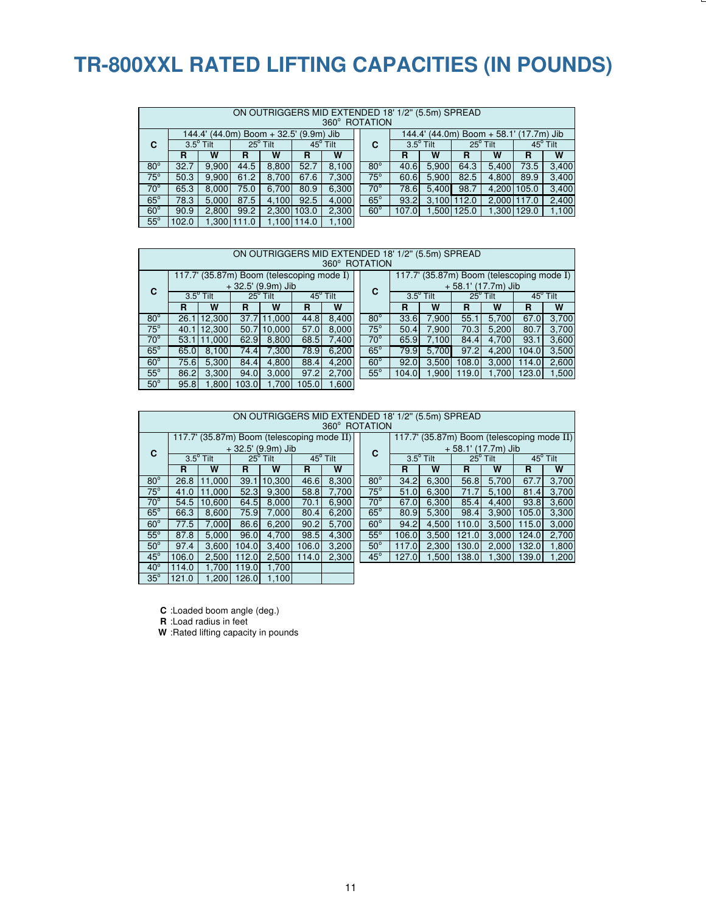|            | ON OUTRIGGERS MID EXTENDED 18' 1/2" (5.5m) SPREAD |                  |              |                                        |             |                   |  |              |       |                  |             |                                         |             |                   |
|------------|---------------------------------------------------|------------------|--------------|----------------------------------------|-------------|-------------------|--|--------------|-------|------------------|-------------|-----------------------------------------|-------------|-------------------|
|            |                                                   |                  |              |                                        |             | 360° ROTATION     |  |              |       |                  |             |                                         |             |                   |
|            |                                                   |                  |              | 144.4' (44.0m) Boom + 32.5' (9.9m) Jib |             |                   |  |              |       |                  |             | 144.4' (44.0m) Boom + 58.1' (17.7m) Jib |             |                   |
| С          |                                                   | $3.5^\circ$ Tilt |              | $25^{\circ}$ Tilt                      |             | $45^{\circ}$ Tilt |  | С            |       | $3.5^\circ$ Tilt |             | $25^{\circ}$ Tilt                       |             | $45^{\circ}$ Tilt |
|            | R                                                 | w                | R            | W                                      | R           | W                 |  |              | R     | W                | R           | W                                       | R           | W                 |
| $80^\circ$ | 32.7                                              | 9.900            | 44.5         | 8,800                                  | 52.7        | 8,100             |  | $80^\circ$   | 40.6  | 5,900            | 64.3        | 5.400                                   | 73.5        | 3,400             |
| $75^\circ$ | 50.3                                              | 9.900            | 61.2         | 8,700                                  | 67.6        | 7,300             |  | $75^\circ$   | 60.6  | 5.900            | 82.5        | 4.800                                   | 89.9        | 3,400             |
| $70^\circ$ | 65.3                                              | 8.000            | 75.0         | 6,700                                  | 80.9        | 6,300             |  | $70^{\circ}$ | 78.6  | 5,400            | 98.7        |                                         | 4.200 105.0 | 3,400             |
| $65^\circ$ | 78.3                                              | 5.000            | 87.5         | 4,100                                  | 92.5        | 4,000             |  | $65^\circ$   | 93.2  | 3,100            | 112.0       |                                         | 2,000 117.0 | 2,400             |
| $60^\circ$ | 90.9                                              | 2.800            | 99.2         | 2,300                                  | 103.0       | 2,300             |  | $60^\circ$   | 107.0 |                  | 1,500 125.0 |                                         | 1,300 129.0 | 1,100             |
| $55^\circ$ | 102.0                                             |                  | 1.300 1111.0 |                                        | 1,100 114.0 | 1,100             |  |              |       |                  |             |                                         |             |                   |

|            | ON OUTRIGGERS MID EXTENDED 18' 1/2" (5.5m) SPREAD        |                                           |       |        |       |               |  |              |       |                    |       |                                           |       |                   |
|------------|----------------------------------------------------------|-------------------------------------------|-------|--------|-------|---------------|--|--------------|-------|--------------------|-------|-------------------------------------------|-------|-------------------|
|            |                                                          |                                           |       |        |       | 360° ROTATION |  |              |       |                    |       |                                           |       |                   |
|            |                                                          | 117.7' (35.87m) Boom (telescoping mode I) |       |        |       |               |  |              |       |                    |       | 117.7' (35.87m) Boom (telescoping mode I) |       |                   |
|            | + 32.5' (9.9m) Jib                                       |                                           |       |        |       |               |  |              |       |                    |       | $+58.1'$ (17.7m) Jib                      |       |                   |
| C          | $3.5^{\circ}$ Tilt<br>$45^\circ$ Tilt<br>$25^\circ$ Tilt |                                           |       |        |       |               |  | C            |       | $3.5^{\circ}$ Tilt |       | $25^\circ$ Tilt                           |       | $45^{\circ}$ Tilt |
|            | R                                                        | w                                         | R     | w      | R     | W             |  |              | R     | W                  | R     | w                                         | R     | w                 |
| $80^\circ$ | 26.1                                                     | 12,300                                    | 37.7  | 11,000 | 44.8  | 8,400         |  | $80^\circ$   | 33.6  | 7.900              | 55.1  | 5,700                                     | 67.0  | 3,700             |
| $75^\circ$ | 40.1                                                     | 12,300                                    | 50.7  | 10.000 | 57.0  | 8,000         |  | $75^\circ$   | 50.4  | 7.900              | 70.3  | 5,200                                     | 80.7  | 3,700             |
| $70^\circ$ | 53.1                                                     | 11.000                                    | 62.9  | 8,800  | 68.5  | 7,400         |  | $70^{\circ}$ | 65.9  | 7,100              | 84.4  | 4.700                                     | 93.1  | 3,600             |
| $65^\circ$ | 65.0                                                     | 8,100                                     | 74.41 | 7,300  | 78.91 | 6,200         |  | $65^\circ$   | 79.9  | 5,700              | 97.2  | 4,200                                     | 104.0 | 3,500             |
| $60^\circ$ | 75.6                                                     | 5.300                                     | 84.4  | 4,800  | 88.4  | 4,200         |  | $60^\circ$   | 92.0  | 3,500              | 108.0 | 3,000                                     | 114.0 | 2,600             |
| $55^\circ$ | 86.2                                                     | 3,300                                     | 94.0  | 3,000  | 97.2  | 2,700         |  | $55^\circ$   | 104.0 | 1,900              | 119.0 | 1,700                                     | 123.0 | 1,500             |
| $50^\circ$ | 95.8                                                     | 1.800                                     | 103.0 | 1.700  | 105.0 | 1,600         |  |              |       |                    |       |                                           |       |                   |

|            | ON OUTRIGGERS MID EXTENDED 18' 1/2" (5.5m) SPREAD |                                                            |                                            |       |                    |       |               |            |  |       |                  |                 |                                            |       |                 |
|------------|---------------------------------------------------|------------------------------------------------------------|--------------------------------------------|-------|--------------------|-------|---------------|------------|--|-------|------------------|-----------------|--------------------------------------------|-------|-----------------|
|            |                                                   |                                                            |                                            |       |                    |       | 360° ROTATION |            |  |       |                  |                 |                                            |       |                 |
|            |                                                   |                                                            | 117.7' (35.87m) Boom (telescoping mode II) |       |                    |       |               |            |  |       |                  |                 | 117.7' (35.87m) Boom (telescoping mode II) |       |                 |
|            |                                                   |                                                            |                                            |       | + 32.5' (9.9m) Jib |       |               |            |  |       |                  |                 | $+58.1'$ (17.7m) Jib                       |       |                 |
| C          |                                                   | $3.5^{\circ}$ Tilt<br>$25^\circ$ Tilt<br>$45^{\circ}$ Tilt |                                            |       |                    |       |               | C          |  |       | $3.5^\circ$ Tilt |                 | $25^\circ$ Tilt                            |       | $45^\circ$ Tilt |
|            |                                                   | R                                                          | W                                          | R     | W                  | R     | W             |            |  | R     | w                | R               | W                                          | R     | w               |
| $80^\circ$ |                                                   | 26.8                                                       | 11.000                                     | 39.1  | 10.300             | 46.6  | 8.300         | $80^\circ$ |  | 34.2  | 6.300            | 56.8            | 5.700                                      | 67.7  | 3,700           |
| $75^\circ$ |                                                   | 41.0                                                       | 11.000                                     | 52.3  | 9,300              | 58.8  | 7.700         | $75^\circ$ |  | 51.0  | 6,300            | 71.7            | 5.100                                      | 81.4  | 3,700           |
| $70^\circ$ |                                                   | 54.5                                                       | 10.600                                     | 64.5  | 8.000              | 70.1  | 6.900         | $70^\circ$ |  | 67.0  | 6.300            | 85.4            | 4.400                                      | 93.8  | 3,600           |
| $65^\circ$ |                                                   | 66.3                                                       | 8,600                                      | 75.9  | 7.000              | 80.4  | 6,200         | $65^\circ$ |  | 80.9  | 5.300            | 98.4            | 3.900                                      | 105.0 | 3,300           |
| $60^\circ$ |                                                   | 77.5                                                       | 7,000                                      | 86.6  | 6,200              | 90.2  | 5,700         | $60^\circ$ |  | 94.2  | 4,500            | 110.0           | 3,500                                      | 115.0 | 3,000           |
| $55^\circ$ |                                                   | 87.8                                                       | 5.000                                      | 96.0  | 4.700              | 98.5  | 4,300         | $55^\circ$ |  | 106.0 | 3,500            | 121<br>$\Omega$ | 3,000                                      | 124.0 | 2,700           |
| $50^\circ$ |                                                   | 97.4                                                       | 3.600                                      | 104.0 | 3.400              | 106.0 | 3,200         | $50^\circ$ |  | 117.0 | 2.300            | 130.0           | 2.000                                      | 132.0 | 1,800           |
| $45^\circ$ |                                                   | 106.0                                                      | 2,500                                      | 112.0 | 2,500              | 114.0 | 2.300         | $45^\circ$ |  | 127.0 | 1.500            | 138.0           | 1,300                                      | 139.0 | 1,200           |
| $40^\circ$ |                                                   | 114.0                                                      | 1,700                                      | 119.0 | 1.700              |       |               |            |  |       |                  |                 |                                            |       |                 |
| $35^\circ$ |                                                   | 121.0                                                      | 1.200                                      | 126.0 | 1.100              |       |               |            |  |       |                  |                 |                                            |       |                 |

**C** :Loaded boom angle (deg.)

**R** :Load radius in feet

**W** :Rated lifting capacity in pounds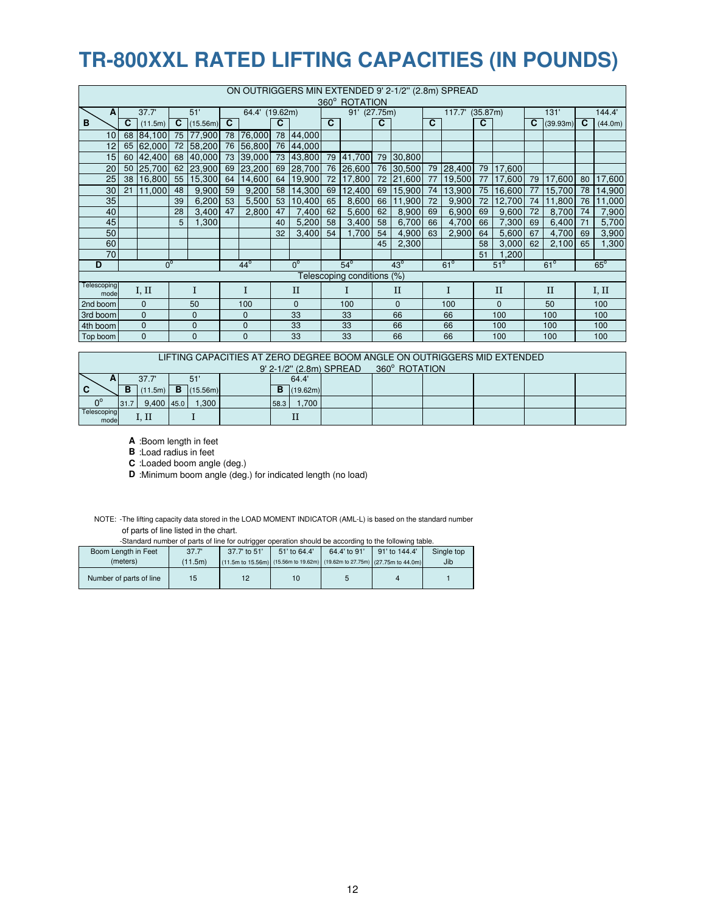|   | ON OUTRIGGERS MIN EXTENDED 9' 2-1/2" (2.8m) SPREAD |                             |              |             |                  |    |                |          |             |                |                            |          |            |              |            |          |              |    |              |    |            |
|---|----------------------------------------------------|-----------------------------|--------------|-------------|------------------|----|----------------|----------|-------------|----------------|----------------------------|----------|------------|--------------|------------|----------|--------------|----|--------------|----|------------|
|   |                                                    |                             |              |             |                  |    |                |          |             |                | 360° ROTATION              |          |            |              |            |          |              |    |              |    |            |
|   | A                                                  |                             | 37.7'        |             | 51'              |    | 64.4' (19.62m) |          |             |                | 91' (27.75m)               |          |            |              | 117.7'     | (35.87m) |              |    | 131'         |    | 144.4'     |
| B |                                                    | $\overline{c}$              | (11.5m)      |             | $C$ (15.56m) $C$ |    |                | C        |             | $\overline{c}$ |                            | C        |            | C            |            | C.       |              | C. | (39.93m)     | C  | (44.0m)    |
|   | 10                                                 |                             | 68 84,100    |             | 75 77,900        |    | 78 76,000      |          | 78 44,000   |                |                            |          |            |              |            |          |              |    |              |    |            |
|   | 12                                                 |                             | 65 62,000    | 72          | 58,200           |    | 76 56,800      |          | 76 44,000   |                |                            |          |            |              |            |          |              |    |              |    |            |
|   | 15                                                 |                             | 60 42,400    | 68          | 40,000           | 73 | 39,000         | 73       | 43,800      | 79             | 41,700                     |          | 79 30,800  |              |            |          |              |    |              |    |            |
|   | 20                                                 |                             | 50 25,700    | 62          | 23,900           | 69 | 23,200         | 69       | 28,700      | 76             | 26,600                     | 76       | 30,500     | 79           | 28,400     | 79       | 17,600       |    |              |    |            |
|   | 25                                                 | 38 <sup>1</sup>             | 16,800       | 55          | 15,300           | 64 | 14,600         | 64       | 19,900      | 72             | 17,800                     | 72       | 21,600     | 77           | 19,500     | 77       | 17,600       | 79 | 17,600       | 80 | 17,600     |
|   | 30                                                 |                             | 21 11,000    | 48          | 9,900            | 59 | 9,200          | 58       | 14,300      | 69             | 12,400                     | 69       | 15,900     | 74           | 13,900     | 75       | 16,600       | 77 | 15,700       | 78 | 14,900     |
|   | 35                                                 |                             |              | 39          | 6,200            | 53 | 5,500          | 53       | 10,400      | 65             | 8,600                      | 66       | 11,900     | 72           | 9,900      | 72       | 12,700       | 74 | 11,800       | 76 | 11,000     |
|   | 40                                                 |                             |              | 28          | 3,400            | 47 | 2,800          | 47       | 7,400       | 62             | 5,600                      | 62       | 8,900      | 69           | 6,900      | 69       | 9,600        | 72 | 8,700        | 74 | 7,900      |
|   | 45                                                 |                             |              | 5           | 1,300            |    |                | 40       | 5,200       | 58             | 3,400                      | 58       | 6,700      | 66           | 4,700      | 66       | 7,300        | 69 | 6,400        | 71 | 5,700      |
|   | 50                                                 |                             |              |             |                  |    |                | 32       | 3,400       | 54             | 1,700                      | 54       | 4,900      | 63           | 2,900      | 64       | 5,600        | 67 | 4,700        | 69 | 3,900      |
|   | 60                                                 |                             |              |             |                  |    |                |          |             |                |                            | 45       | 2,300      |              |            | 58       | 3,000        | 62 | 2,100        | 65 | 1,300      |
|   | $\overline{70}$                                    |                             |              |             |                  |    |                |          |             |                |                            |          |            |              |            | 51       | 1,200        |    |              |    |            |
|   | D                                                  |                             |              | $0^{\circ}$ |                  |    | $44^\circ$     |          | $0^{\circ}$ |                | $54^\circ$                 |          | $43^\circ$ |              | $61^\circ$ |          | $51^{\circ}$ |    | $61^{\circ}$ |    | $65^\circ$ |
|   |                                                    |                             |              |             |                  |    |                |          |             |                | Telescoping conditions (%) |          |            |              |            |          |              |    |              |    |            |
|   | Telescoping<br>mode                                | I, II<br>I<br>T<br>$\rm II$ |              |             |                  | T  |                | $\rm II$ |             | T              |                            | $\rm II$ |            | $\mathbf{H}$ |            | I, II    |              |    |              |    |            |
|   | 2nd boom                                           |                             | $\mathbf{0}$ |             | 50               |    | 100            |          | $\Omega$    |                | 100                        |          | $\Omega$   |              | 100        |          | $\mathbf{0}$ |    | 50           |    | 100        |
|   | 3rd boom                                           |                             | 0            |             | 0                |    | $\Omega$       |          | 33          |                | 33                         |          | 66         |              | 66         |          | 100          |    | 100          |    | 100        |
|   | 4th boom                                           |                             | $\mathbf{0}$ |             | 0                |    | $\mathbf{0}$   |          | 33          |                | 33                         |          | 66         |              | 66         |          | 100          |    | 100          |    | 100        |
|   | Top boom                                           |                             | $\mathbf{0}$ |             | $\mathbf{0}$     |    | $\mathbf{0}$   |          | 33          |                | 33                         |          | 66         |              | 66         |          | 100          |    | 100          |    | 100        |
|   |                                                    |                             |              |             |                  |    |                |          |             |                |                            |          |            |              |            |          |              |    |              |    |            |

|                     | LIFTING CAPACITIES AT ZERO DEGREE BOOM ANGLE ON OUTRIGGERS MID EXTENDED |              |   |          |  |      |          |  |  |  |  |  |  |  |
|---------------------|-------------------------------------------------------------------------|--------------|---|----------|--|------|----------|--|--|--|--|--|--|--|
|                     | 360° ROTATION<br>9' 2-1/2" (2.8m) SPREAD                                |              |   |          |  |      |          |  |  |  |  |  |  |  |
| A                   |                                                                         | 37.7'        |   | 51'      |  |      | 64.4'    |  |  |  |  |  |  |  |
| C                   | в                                                                       | (11.5m)      | в | (15.56m) |  | в    | (19.62m) |  |  |  |  |  |  |  |
|                     | 31.7                                                                    | $9.400$ 45.0 |   | 1.300    |  | 58.3 | .700     |  |  |  |  |  |  |  |
| Telescoping<br>mode |                                                                         | I, II        |   |          |  |      |          |  |  |  |  |  |  |  |

**A** :Boom length in feet

**B** :Load radius in feet

**C** :Loaded boom angle (deg.)

**D** :Minimum boom angle (deg.) for indicated length (no load)

NOTE: -The lifting capacity data stored in the LOAD MOMENT INDICATOR (AML-L) is based on the standard number of parts of line listed in the chart.

|  |  |  |  | -Standard number of parts of line for outrigger operation should be according to the following table. |  |
|--|--|--|--|-------------------------------------------------------------------------------------------------------|--|
|  |  |  |  |                                                                                                       |  |

|                         |         | <u>Utahuaru Humbor or parts or illio for Uumquor Oporation shoulu bo accorumy to the following table.</u> |              |              |               |            |
|-------------------------|---------|-----------------------------------------------------------------------------------------------------------|--------------|--------------|---------------|------------|
| Boom Length in Feet     | 37.7'   | 37.7' to 51'                                                                                              | 51' to 64.4' | 64.4' to 91' | 91' to 144.4' | Single top |
| (meters)                | (11.5m) | $(11.5m \text{ to } 15.56m)$ (15.56m to 19.62m) (19.62m to 27.75m) (27.75m to 44.0m)                      |              |              |               | Jib        |
| Number of parts of line | 15      | 12                                                                                                        | 10           |              |               |            |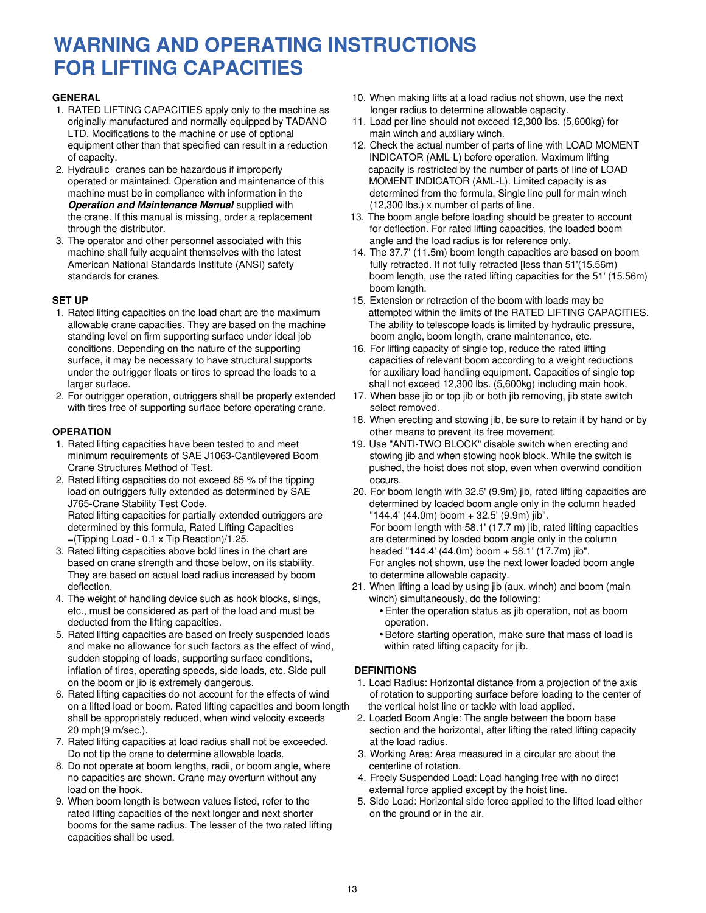### **WARNING AND OPERATING INSTRUCTIONS FOR LIFTING CAPACITIES**

- 1. RATED LIFTING CAPACITIES apply only to the machine as longer radius to determine allowable capacity. LTD. Modifications to the machine or use of optional main winch and auxiliary winch.<br>equipment other than that specified can result in a reduction 12. Check the actual number of par of capacity. INDICATOR (AML-L) before operation. Maximum lifting
- operated or maintained. Operation and maintenance of this MOMENT INDICATOR (AML-L). Limited capacity is as **Operation and Maintenance Manual supplied with**
- 3. The operator and other personnel associated with this machine shall fully acquaint themselves with the latest

- standing level on firm supporting surface under ideal job surface, it may be necessary to have structural supports
- 2. For outrigger operation, outriggers shall be properly extended 17. When base jib or top jib or both jib removing, jib state switch with tires free of supporting surface before operating crane. Select removed.

- 
- 2. Rated lifting capacities do not exceed 85 % of the tipping occurs. Rated lifting capacities for partially extended outriggers are
- 3. Rated lifting capacities above bold lines in the chart are based on crane strength and those below, on its stability. They are based on actual load radius increased by boom to determine allowable capacity.
- 4. The weight of handling device such as hook blocks, slings, winch) simultaneously, do the following: etc., must be considered as part of the load and must be **Enter the operation status as jib operation**, not as boom deducted from the lifting capacities. The state of the set of the operation.
- 5. Rated lifting capacities are based on freely suspended loads Before starting operation, make sure that mass of load is and make no allowance for such factors as the effect of wind, within rated lifting capacity for jib. sudden stopping of loads, supporting surface conditions, inflation of tires, operating speeds, side loads, etc. Side pull **DEFINITIONS**
- 6. Rated lifting capacities do not account for the effects of wind on a lifted load or boom. Rated lifting capacities and boom length the vertical hoist line or tackle with load applied. shall be appropriately reduced, when wind velocity exceeds 2. Loaded Boom Angle: The angle between the boom base 20 mph(9 m/sec.). section and the horizontal, after lifting the rated lifting capacity
- 7. Rated lifting capacities at load radius shall not be exceeded. <br>Do not tip the crane to determine allowable loads. 3. Working Area: Are
- 8. Do not operate at boom lengths, radii, or boom angle, where centerline of rotation. no capacities are shown. Crane may overturn without any 4. Freely Suspended Load: Load hanging free with no direct load on the hook.<br>9. When boom length is between values listed, refer to the external force applied except by the hoist line.
- rated lifting capacities of the next longer and next shorter on the ground or in the air. booms for the same radius. The lesser of the two rated lifting capacities shall be used.
- **GENERAL** 10. When making lifts at a load radius not shown, use the next
	- originally manufactured and normally equipped by TADANO 11. Load per line should not exceed 12,300 lbs. (5,600kg) for
- 12. Check the actual number of parts of line with LOAD MOMENT 2. Hydraulic cranes can be hazardous if improperly capacity is restricted by the number of parts of line of LOAD machine must be in compliance with information in the determined from the formula, Single line pull for main winch  $Operation$  and Maintenance Manual supplied with  $Operation$  (12.300 lbs.) x number of parts of line.
	- the crane. If this manual is missing, order a replacement 13. The boom angle before loading should be greater to account through the distributor.<br>The operator and other personnel associated with this angle and the load radius is for reference only.
	- 14. The 37.7' (11.5m) boom length capacities are based on boom American National Standards Institute (ANSI) safety fully retracted. If not fully retracted [less than 51'(15.56m) standards for cranes. boom length, use the rated lifting capacities for the 51' (15.56m) boom length.
- **SET UP** 15. Extension or retraction of the boom with loads may be 1. Rated lifting capacities on the load chart are the maximum attempted within the limits of the RATED LIFTING CAPACITIES. allowable crane capacities. They are based on the machine The ability to telescope loads is limited by hydraulic pressure,<br>standing level on firm supporting surface under ideal job boom angle, boom length, crane maintenanc
	- conditions. Depending on the nature of the supporting 16. For lifting capacity of single top, reduce the rated lifting surface, it may be necessary to have structural supports capacities of relevant boom according to a wei under the outrigger floats or tires to spread the loads to a for auxiliary load handling equipment. Capacities of single top larger surface. shall not exceed 12,300 lbs. (5,600kg) including main hook.
		-
- 18. When erecting and stowing jib, be sure to retain it by hand or by **OPERATION OPERATION OPERATION OPERATION**
- 1. Rated lifting capacities have been tested to and meet 19. Use "ANTI-TWO BLOCK" disable switch when erecting and minimum requirements of SAE J1063-Cantilevered Boom stowing jib and when stowing hook block. While the switch is<br>Crane Structures Method of Test. state of the switch is superfect the hoist does not stop, even when overwind pushed, the hoist does not stop, even when overwind condition
	- load on outriggers fully extended as determined by SAE 20. For boom length with 32.5' (9.9m) jib, rated lifting capacities are J765-Crane Stability Test Code.<br>
	Rated lifting capacities for partially extended outriggers are "144.4' (44.0m) boom + 32.5' (9.9m) jib". determined by this formula, Rated Lifting Capacities For boom length with 58.1' (17.7 m) jib, rated lifting capacities<br>=(Tipping Load - 0.1 x Tip Reaction)/1.25. examples are determined by loaded boom angle only in the col are determined by loaded boom angle only in the column headed "144.4' (44.0m) boom + 58.1' (17.7m) jib". For angles not shown, use the next lower loaded boom angle
	- deflection. 21. When lifting a load by using jib (aux. winch) and boom (main
		-
		-

- on the boom or jib is extremely dangerous.<br>
Rated lifting capacities do not account for the effects of wind of rotation to supporting surface before loading to the center of
	-
	- 3. Working Area: Area measured in a circular arc about the
	-
	- 5. Side Load: Horizontal side force applied to the lifted load either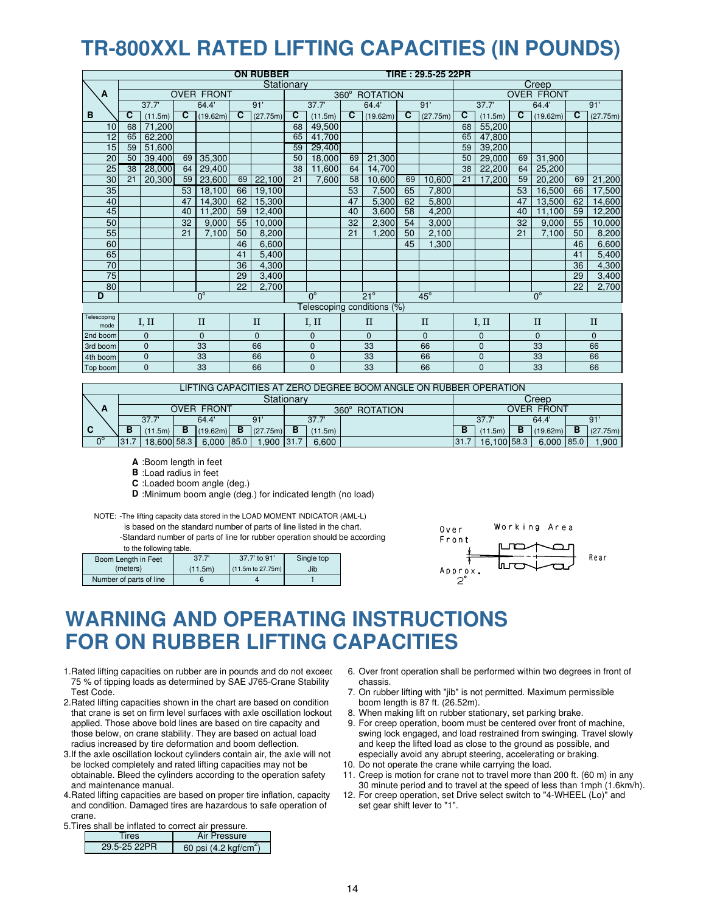|                     | <b>ON RUBBER</b><br><b>TIRE: 29.5-25 22PR</b> |              |    |                   |    |                   |    |                            |                 |               |    |              |    |                |    |                   |    |              |
|---------------------|-----------------------------------------------|--------------|----|-------------------|----|-------------------|----|----------------------------|-----------------|---------------|----|--------------|----|----------------|----|-------------------|----|--------------|
|                     |                                               |              |    |                   |    | <b>Stationary</b> |    |                            |                 |               |    |              |    |                |    | Creep             |    |              |
| A                   |                                               |              |    | <b>OVER FRONT</b> |    |                   |    |                            |                 | 360° ROTATION |    |              |    |                |    | <b>OVER FRONT</b> |    |              |
|                     |                                               | 37.7'        |    | 64.4'             |    | 91'               |    | 37.7'                      |                 | 64.4          |    | 91'          |    | 37.7'          |    | 64.4'             |    | 91'          |
| B                   | C                                             | (11.5m)      |    | $C = (19.62m)$    | C  | (27.75m)          | C  | (11.5m)                    | $\mathbf c$     | (19.62m)      | C. | (27.75m)     | C  | (11.5m)        | C  | (19.62m)          | C  | (27.75m)     |
| 10                  | 68                                            | 71,200       |    |                   |    |                   | 68 | 49,500                     |                 |               |    |              | 68 | 55,200         |    |                   |    |              |
| 12                  | 65                                            | 62,200       |    |                   |    |                   | 65 | 41,700                     |                 |               |    |              | 65 | 47,800         |    |                   |    |              |
| 15                  | 59                                            | 51,600       |    |                   |    |                   | 59 | 29,400                     |                 |               |    |              | 59 | 39,200         |    |                   |    |              |
| 20                  | 50                                            | 39,400       | 69 | 35,300            |    |                   | 50 | 18,000                     | 69              | 21,300        |    |              | 50 | 29,000         | 69 | 31,900            |    |              |
| 25                  | 38                                            | 28,000       | 64 | 29,400            |    |                   | 38 | 11,600                     | 64              | 14,700        |    |              | 38 | 22,200         | 64 | 25,200            |    |              |
| 30                  | 21                                            | 20,300       | 59 | 23,600            | 69 | 22,100            | 21 | 7,600                      | 58              | 10,600        | 69 | 10,600       | 21 | 17,200         | 59 | 20,200            | 69 | 21,200       |
| 35                  |                                               |              | 53 | 18,100            | 66 | 19,100            |    |                            | 53              | 7,500         | 65 | 7,800        |    |                | 53 | 16,500            | 66 | 17,500       |
| 40                  |                                               |              | 47 | 14,300            | 62 | 15,300            |    |                            | 47              | 5,300         | 62 | 5,800        |    |                | 47 | 13,500            | 62 | 14,600       |
| 45                  |                                               |              | 40 | 11,200            | 59 | 12,400            |    |                            | 40              | 3,600         | 58 | 4,200        |    |                | 40 | 11,100            | 59 | 12,200       |
| 50                  |                                               |              | 32 | 9,000             | 55 | 10,000            |    |                            | 32              | 2,300         | 54 | 3,000        |    |                | 32 | 9,000             | 55 | 10,000       |
| 55                  |                                               |              | 21 | 7,100             | 50 | 8,200             |    |                            | $\overline{21}$ | 1,200         | 50 | 2,100        |    |                | 21 | 7,100             | 50 | 8,200        |
| 60                  |                                               |              |    |                   | 46 | 6,600             |    |                            |                 |               | 45 | 1,300        |    |                |    |                   | 46 | 6,600        |
| 65                  |                                               |              |    |                   | 41 | 5,400             |    |                            |                 |               |    |              |    |                |    |                   | 41 | 5,400        |
| 70                  |                                               |              |    |                   | 36 | 4,300             |    |                            |                 |               |    |              |    |                |    |                   | 36 | 4,300        |
| $\overline{75}$     |                                               |              |    |                   | 29 | 3,400             |    |                            |                 |               |    |              |    |                |    |                   | 29 | 3,400        |
| 80                  |                                               |              |    |                   | 22 | 2,700             |    |                            |                 |               |    |              |    |                |    |                   | 22 | 2,700        |
| D                   |                                               |              |    | $0^{\circ}$       |    |                   |    | $0^{\circ}$                |                 | $21^{\circ}$  |    | $45^\circ$   |    |                |    | $0^{\circ}$       |    |              |
|                     |                                               |              |    |                   |    |                   |    | Telescoping conditions (%) |                 |               |    |              |    |                |    |                   |    |              |
| Telescoping<br>mode |                                               | I, II        |    | $\mathbf{I}$      |    | $\mathbf{I}$      |    | I, II                      |                 | $_{\rm II}$   |    | $\rm II$     |    | I, II          |    | $_{\rm II}$       |    | $\mathbf{I}$ |
| 2nd boom            |                                               | $\mathbf{0}$ |    | $\mathbf{0}$      |    | $\mathbf{0}$      |    | $\mathbf{0}$               |                 | $\Omega$      |    | $\mathbf{0}$ |    | 0              |    | 0                 |    | $\mathbf{0}$ |
| 3rd boom            |                                               | $\Omega$     |    | 33                |    | 66                |    | $\Omega$                   |                 | 33            |    | 66           |    | $\Omega$       |    | 33                |    | 66           |
| 4th boom            |                                               | $\mathbf 0$  |    | 33                |    | 66                |    | $\overline{0}$             |                 | 33            |    | 66           |    | $\overline{0}$ |    | 33                |    | 66           |
| Top boom            |                                               | $\Omega$     |    | 33                |    | 66                |    | $\Omega$                   |                 | 33            |    | 66           |    | $\Omega$       |    | 33                |    | 66           |

|                | LIFTING CAPACITIES AT ZERO DEGREE BOOM ANGLE ON RUBBER OPERATION |      |                       |   |            |   |           |            |         |                                |      |             |   |                   |      |          |
|----------------|------------------------------------------------------------------|------|-----------------------|---|------------|---|-----------|------------|---------|--------------------------------|------|-------------|---|-------------------|------|----------|
|                |                                                                  |      |                       |   |            |   |           | Stationarv |         |                                |      |             |   | Creep             |      |          |
| $\mathbf{r}$   |                                                                  |      |                       |   | OVER FRONT |   |           |            |         | $360^\circ$<br><b>ROTATION</b> |      |             |   | <b>OVER FRONT</b> |      |          |
|                |                                                                  |      | 91'<br>37.7'<br>64.4' |   |            |   |           |            | 37.7'   |                                |      | 37.7'       |   | 64.4              |      | 91       |
| C              |                                                                  |      | $1.5m$ )              | в | (19.62m)   | B | (27.75m)  |            | (11.5m) |                                |      | (11.5m)     | в | (19.62m)          | в    | (27.75m) |
| $\mathsf{d}^0$ |                                                                  | 31.7 | 18.600 58.3           |   | 6.000 85.0 |   | .900 31.7 |            | 6.600   |                                | 31.7 | 16.100 58.3 |   | 6.000             | 85.0 | .900     |

**A** :Boom length in feet

**B** :Load radius in feet

**C** :Loaded boom angle (deg.)

**D** :Minimum boom angle (deg.) for indicated length (no load)

NOTE: -The lifting capacity data stored in the LOAD MOMENT INDICATOR (AML-L)

 is based on the standard number of parts of line listed in the chart. -Standard number of parts of line for rubber operation should be according to the following table.

| Boom Length in Feet     | 37.7'   | 37.7' to 91'      | Single top |
|-------------------------|---------|-------------------|------------|
| (meters)                | (11.5m) | (11.5m to 27.75m) | Jib        |
| Number of parts of line |         |                   |            |



### **WARNING AND OPERATING INSTRUCTIONS FOR ON RUBBER LIFTING CAPACITIES**

- 75 % of tipping loads as determined by SAE J765-Crane Stability chassis.<br>Test Code 7 On rubb
- 2. Rated lifting capacities shown in the chart are based on condition book that crane is set on firm level surfaces with axle oscillation lockout
- 3.If the axle oscillation lockout cylinders contain air, the axle will not especially avoid any abrupt steering, accelerating be locked completely and rated lifting capacities may not be 10. Do not operate the crane while be locked completely and rated lifting capacities may not be obtainable. Bleed the cylinders according to the operation safety 11. Creep is motion for crane not to travel more than 200 ft. (60 m) in any
- and condition. Damaged tires are hazardous to safe operation of set gear shift lever to "1". crane.
- 5.Tires shall be inflated to correct air pressure.

| <b>Ires</b>  | Air Pressure                    |
|--------------|---------------------------------|
| 29.5-25.22PR | 60 psi $(4.2 \text{ kgf/cm}^2)$ |

- 1.Rated lifting capacities on rubber are in pounds and do not exceed 6. Over front operation shall be performed within two degrees in front of
	- 7. On rubber lifting with "jib" is not permitted. Maximum permissible<br>boom length is 87 ft. (26.52m).
	- 8. When making lift on rubber stationary, set parking brake.
- applied. Those above bold lines are based on tire capacity and 9. For creep operation, boom must be centered over front of machine, those below, on crane stability. They are based on actual load swing lock engaged, and loa those below, on crane stability. They are based on actual load swing lock engaged, and load restrained from swinging. Travel slowly radius increased by tire deformation and boom deflection. <br>and keep the lifted load as clo and keep the lifted load as close to the ground as possible, and especially avoid any abrupt steering, accelerating or braking.
	-
	- 30 minute period and to travel at the speed of less than 1mph (1.6km/h).
- 4.Rated lifting capacities are based on proper tire inflation, capacity 12. For creep operation, set Drive select switch to "4-WHEEL (Lo)" and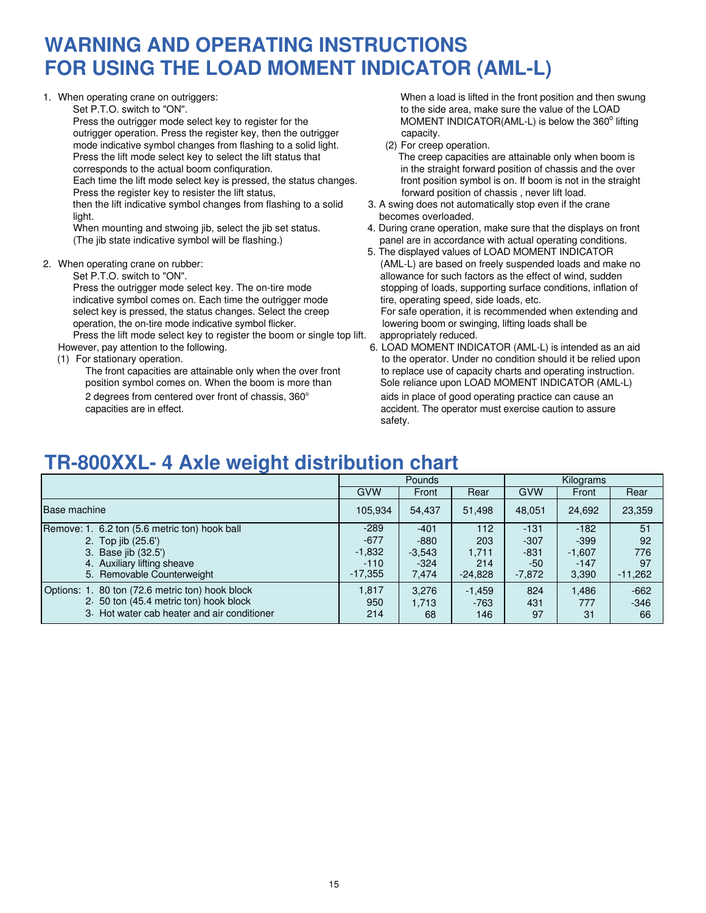### **WARNING AND OPERATING INSTRUCTIONS FOR USING THE LOAD MOMENT INDICATOR (AML-L)**

Press the outrigger mode select key to register for the outrigger operation. Press the register key, then the outrigger capacity. mode indicative symbol changes from flashing to a solid light. (2) For creep operation. Press the lift mode select key to select the lift status that The creep capacities are attainable only when boom is

Each time the lift mode select key is pressed, the status changes. front position symbol is on. If boom is not in the straight Press the register key to resister the lift status, forward position of chassis , never lift load.

then the lift indicative symbol changes from flashing to a solid 3. A swing does not automatically stop even if the crane light.<br>When mounting and stwoing jib, select the jib set status. <br>4. During crane operation

indicative symbol comes on. Each time the outrigger mode tire, operating speed, side loads, etc.<br>select key is pressed, the status changes. Select the creep For safe operation, it is recommende operation, the on-tire mode indicative symbol flicker.

Press the lift mode select key to register the boom or single top lift. appropriately reduced.

2 degrees from centered over front of chassis, 360° capacities are in effect. accident. The operator must exercise caution to assure

1. When operating crane on outriggers: When a load is lifted in the front position and then swung Set P.T.O. switch to "ON". The side area, make sure the value of the LOAD MOMENT INDICATOR(AML-L) is below the 360° lifting

corresponds to the actual boom configuration.  $\blacksquare$  in the straight forward position of chassis and the over

- 
- 4. During crane operation, make sure that the displays on front (The jib state indicative symbol will be flashing.) panel are in accordance with actual operating conditions.
- 5. The displayed values of LOAD MOMENT INDICATOR 2. When operating crane on rubber: (AML-L) are based on freely suspended loads and make no<br>Set P.T.O. switch to "ON". Set P.T.O. switch to "ON". allowance for such factors as the effect of wind, sudden Press the outrigger mode select key. The on-tire mode stopping of loads, supporting surface conditions, inflation of For safe operation, it is recommended when extending and lowering boom or swinging, lifting loads shall be
	-
	- However, pay attention to the following.<br>
	(1) For stationary operation. (and to the operator. Under no condition should it be relied upon to the operator. Under no condition should it be relied upon The front capacities are attainable only when the over front to replace use of capacity charts and operating instruction. position symbol comes on. When the boom is more than Sole reliance upon LOAD MOMENT INDICATOR (AML-L) aids in place of good operating practice can cause an safety.

### **TR-800XXL- 4 Axle weight distribution chart**

|                                                 |           | <b>Pounds</b> |           |            | Kilograms |           |
|-------------------------------------------------|-----------|---------------|-----------|------------|-----------|-----------|
|                                                 | GVW       | Front         | Rear      | <b>GVW</b> | Front     | Rear      |
| Base machine                                    | 105.934   | 54,437        | 51,498    | 48,051     | 24,692    | 23,359    |
| Remove: 1. 6.2 ton (5.6 metric ton) hook ball   | $-289$    | $-401$        | 112       | $-131$     | $-182$    | 51        |
| 2. Top jib (25.6')                              | $-677$    | $-880$        | 203       | $-307$     | $-399$    | 92        |
| 3. Base jib (32.5')                             | $-1,832$  | $-3,543$      | 1.711     | $-831$     | $-1,607$  | 776       |
| 4. Auxiliary lifting sheave                     | $-110$    | $-324$        | 214       | $-50$      | $-147$    | 97        |
| 5. Removable Counterweight                      | $-17,355$ | 7.474         | $-24,828$ | $-7,872$   | 3,390     | $-11,262$ |
| Options: 1. 80 ton (72.6 metric ton) hook block | 1,817     | 3.276         | $-1,459$  | 824        | 1,486     | $-662$    |
| 2. 50 ton (45.4 metric ton) hook block          | 950       | 1.713         | $-763$    | 431        | 777       | $-346$    |
| 3. Hot water cab heater and air conditioner     | 214       | 68            | 146       | 97         | 31        | 66        |